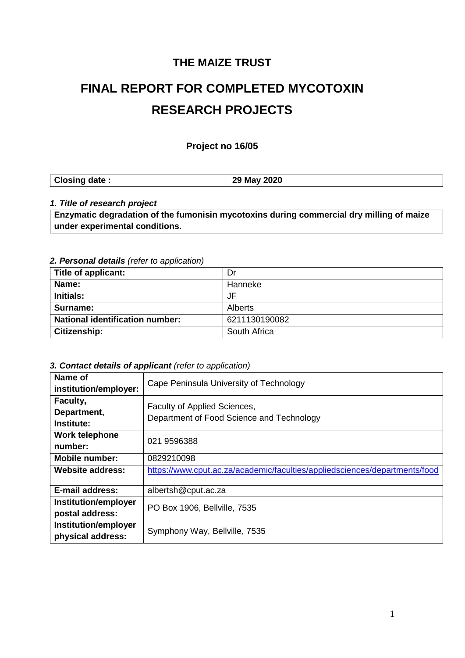# **THE MAIZE TRUST**

# **FINAL REPORT FOR COMPLETED MYCOTOXIN RESEARCH PROJECTS**

# **Project no 16/05**

| <b>Closing date:</b> | <b>May 2020</b><br>29 |
|----------------------|-----------------------|
|----------------------|-----------------------|

## *1. Title of research project*

**Enzymatic degradation of the fumonisin mycotoxins during commercial dry milling of maize under experimental conditions.**

#### *2. Personal details (refer to application)*

| Title of applicant:                    | Dr             |
|----------------------------------------|----------------|
| Name:                                  | Hanneke        |
| Initials:                              | JF             |
| Surname:                               | <b>Alberts</b> |
| <b>National identification number:</b> | 6211130190082  |
| <b>Citizenship:</b>                    | South Africa   |

*3. Contact details of applicant (refer to application)*

| Name of<br>institution/employer:                 | Cape Peninsula University of Technology                                    |
|--------------------------------------------------|----------------------------------------------------------------------------|
| Faculty,<br>Department,<br>Institute:            | Faculty of Applied Sciences,<br>Department of Food Science and Technology  |
| Work telephone<br>number:                        | 021 9596388                                                                |
| <b>Mobile number:</b>                            | 0829210098                                                                 |
| <b>Website address:</b>                          | https://www.cput.ac.za/academic/faculties/appliedsciences/departments/food |
| E-mail address:                                  | albertsh@cput.ac.za                                                        |
| Institution/employer<br>postal address:          | PO Box 1906, Bellville, 7535                                               |
| <b>Institution/employer</b><br>physical address: | Symphony Way, Bellville, 7535                                              |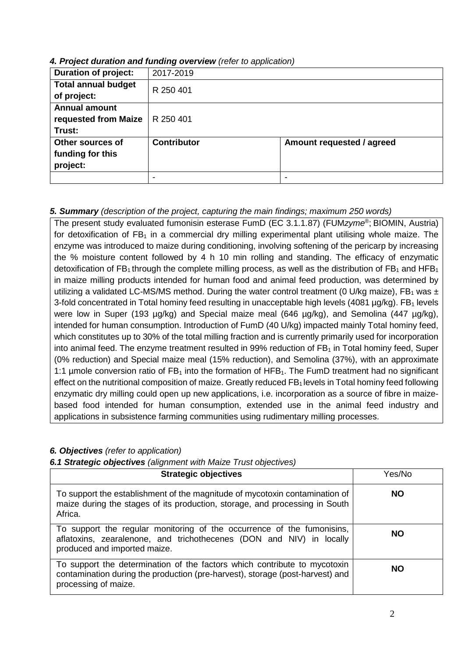| <b>Duration of project:</b> | 2017-2019          |                           |
|-----------------------------|--------------------|---------------------------|
| <b>Total annual budget</b>  | R 250 401          |                           |
| of project:                 |                    |                           |
| <b>Annual amount</b>        |                    |                           |
| requested from Maize        | R 250 401          |                           |
| Trust:                      |                    |                           |
| Other sources of            | <b>Contributor</b> | Amount requested / agreed |
| funding for this            |                    |                           |
| project:                    |                    |                           |
|                             |                    | -                         |

# *4. Project duration and funding overview (refer to application)*

# *5. Summary (description of the project, capturing the main findings; maximum 250 words)*

The present study evaluated fumonisin esterase FumD (EC 3.1.1.87) (FUM*zyme*®; BIOMIN, Austria) for detoxification of  $FB<sub>1</sub>$  in a commercial dry milling experimental plant utilising whole maize. The enzyme was introduced to maize during conditioning, involving softening of the pericarp by increasing the % moisture content followed by 4 h 10 min rolling and standing. The efficacy of enzymatic detoxification of  $FB_1$  through the complete milling process, as well as the distribution of  $FB_1$  and  $HFB_1$ in maize milling products intended for human food and animal feed production, was determined by utilizing a validated LC-MS/MS method. During the water control treatment (0 U/kg maize), FB<sub>1</sub> was  $\pm$ 3-fold concentrated in Total hominy feed resulting in unacceptable high levels (4081  $\mu$ g/kg). FB<sub>1</sub> levels were low in Super (193 µg/kg) and Special maize meal (646 µg/kg), and Semolina (447 µg/kg), intended for human consumption. Introduction of FumD (40 U/kg) impacted mainly Total hominy feed, which constitutes up to 30% of the total milling fraction and is currently primarily used for incorporation into animal feed. The enzyme treatment resulted in 99% reduction of  $FB<sub>1</sub>$  in Total hominy feed, Super (0% reduction) and Special maize meal (15% reduction), and Semolina (37%), with an approximate 1:1 µmole conversion ratio of  $FB<sub>1</sub>$  into the formation of HFB<sub>1</sub>. The FumD treatment had no significant effect on the nutritional composition of maize. Greatly reduced  $FB<sub>1</sub>$  levels in Total hominy feed following enzymatic dry milling could open up new applications, i.e. incorporation as a source of fibre in maizebased food intended for human consumption, extended use in the animal feed industry and applications in subsistence farming communities using rudimentary milling processes.

# *6. Objectives (refer to application)*

*6.1 Strategic objectives (alignment with Maize Trust objectives)*

| <b>Strategic objectives</b>                                                                                                                                                        | Yes/No    |
|------------------------------------------------------------------------------------------------------------------------------------------------------------------------------------|-----------|
| To support the establishment of the magnitude of mycotoxin contamination of<br>maize during the stages of its production, storage, and processing in South<br>Africa.              | <b>NO</b> |
| To support the regular monitoring of the occurrence of the fumonisins,<br>aflatoxins, zearalenone, and trichothecenes (DON and NIV) in locally<br>produced and imported maize.     | <b>NO</b> |
| To support the determination of the factors which contribute to mycotoxin<br>contamination during the production (pre-harvest), storage (post-harvest) and<br>processing of maize. | <b>NO</b> |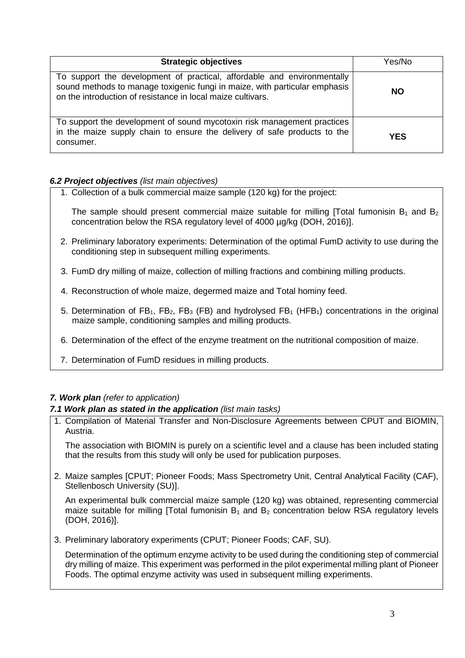| <b>Strategic objectives</b>                                                                                                                                                                                          | Yes/No     |
|----------------------------------------------------------------------------------------------------------------------------------------------------------------------------------------------------------------------|------------|
| To support the development of practical, affordable and environmentally<br>sound methods to manage toxigenic fungi in maize, with particular emphasis<br>on the introduction of resistance in local maize cultivars. | <b>NO</b>  |
| To support the development of sound mycotoxin risk management practices<br>in the maize supply chain to ensure the delivery of safe products to the<br>consumer.                                                     | <b>YES</b> |

# *6.2 Project objectives (list main objectives)*

1. Collection of a bulk commercial maize sample (120 kg) for the project:

The sample should present commercial maize suitable for milling [Total fumonisin  $B_1$  and  $B_2$ concentration below the RSA regulatory level of 4000 µg/kg (DOH, 2016)].

- 2. Preliminary laboratory experiments: Determination of the optimal FumD activity to use during the conditioning step in subsequent milling experiments.
- 3. FumD dry milling of maize, collection of milling fractions and combining milling products.
- 4. Reconstruction of whole maize, degermed maize and Total hominy feed.
- 5. Determination of  $FB_1$ ,  $FB_2$ ,  $FB_3$  (FB) and hydrolysed  $FB_1$  (HFB<sub>1</sub>) concentrations in the original maize sample, conditioning samples and milling products.
- 6. Determination of the effect of the enzyme treatment on the nutritional composition of maize.
- 7. Determination of FumD residues in milling products.

# *7. Work plan (refer to application)*

#### *7.1 Work plan as stated in the application (list main tasks)*

1. Compilation of Material Transfer and Non-Disclosure Agreements between CPUT and BIOMIN, Austria.

The association with BIOMIN is purely on a scientific level and a clause has been included stating that the results from this study will only be used for publication purposes.

2. Maize samples [CPUT; Pioneer Foods; Mass Spectrometry Unit, Central Analytical Facility (CAF), Stellenbosch University (SU)].

An experimental bulk commercial maize sample (120 kg) was obtained, representing commercial maize suitable for milling [Total fumonisin  $B_1$  and  $B_2$  concentration below RSA regulatory levels (DOH, 2016)].

3. Preliminary laboratory experiments (CPUT; Pioneer Foods; CAF, SU).

Determination of the optimum enzyme activity to be used during the conditioning step of commercial dry milling of maize. This experiment was performed in the pilot experimental milling plant of Pioneer Foods. The optimal enzyme activity was used in subsequent milling experiments.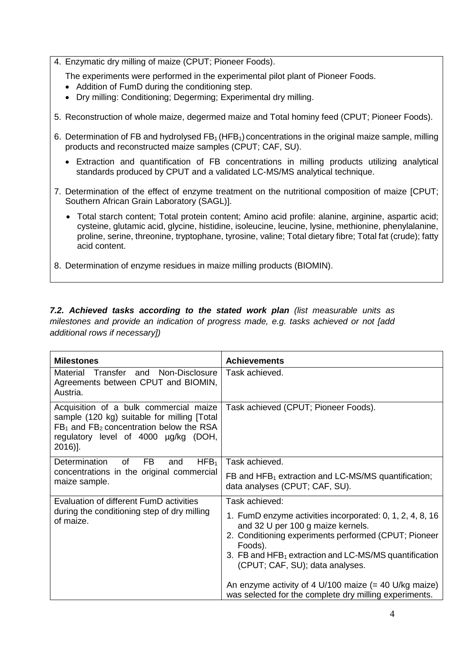- 4. Enzymatic dry milling of maize (CPUT; Pioneer Foods).
	- The experiments were performed in the experimental pilot plant of Pioneer Foods.
	- Addition of FumD during the conditioning step.
	- Dry milling: Conditioning; Degerming; Experimental dry milling.
- 5. Reconstruction of whole maize, degermed maize and Total hominy feed (CPUT; Pioneer Foods).
- 6. Determination of FB and hydrolysed  $FB<sub>1</sub> (HFB<sub>1</sub>)$  concentrations in the original maize sample, milling products and reconstructed maize samples (CPUT; CAF, SU).
	- Extraction and quantification of FB concentrations in milling products utilizing analytical standards produced by CPUT and a validated LC-MS/MS analytical technique.
- 7. Determination of the effect of enzyme treatment on the nutritional composition of maize [CPUT; Southern African Grain Laboratory (SAGL)].
	- Total starch content; Total protein content; Amino acid profile: alanine, arginine, aspartic acid; cysteine, glutamic acid, glycine, histidine, isoleucine, leucine, lysine, methionine, phenylalanine, proline, serine, threonine, tryptophane, tyrosine, valine; Total dietary fibre; Total fat (crude); fatty acid content.
- 8. Determination of enzyme residues in maize milling products (BIOMIN).

*7.2. Achieved tasks according to the stated work plan (list measurable units as milestones and provide an indication of progress made, e.g. tasks achieved or not [add additional rows if necessary])*

| <b>Milestones</b>                                                                                                                                                                          | <b>Achievements</b>                                                                                                                                                                                                                                                       |
|--------------------------------------------------------------------------------------------------------------------------------------------------------------------------------------------|---------------------------------------------------------------------------------------------------------------------------------------------------------------------------------------------------------------------------------------------------------------------------|
| and Non-Disclosure<br>Transfer<br>Material<br>Agreements between CPUT and BIOMIN,<br>Austria.                                                                                              | Task achieved.                                                                                                                                                                                                                                                            |
| Acquisition of a bulk commercial maize<br>sample (120 kg) suitable for milling [Total]<br>$FB1$ and $FB2$ concentration below the RSA<br>regulatory level of 4000 µg/kg (DOH,<br>$2016$ ]. | Task achieved (CPUT; Pioneer Foods).                                                                                                                                                                                                                                      |
| <b>Determination</b><br>of<br><b>FB</b><br>HFB <sub>1</sub><br>and                                                                                                                         | Task achieved.                                                                                                                                                                                                                                                            |
| concentrations in the original commercial<br>maize sample.                                                                                                                                 | FB and $HFB1$ extraction and LC-MS/MS quantification;<br>data analyses (CPUT; CAF, SU).                                                                                                                                                                                   |
| Evaluation of different FumD activities                                                                                                                                                    | Task achieved:                                                                                                                                                                                                                                                            |
| during the conditioning step of dry milling<br>of maize.                                                                                                                                   | 1. FumD enzyme activities incorporated: 0, 1, 2, 4, 8, 16<br>and 32 U per 100 g maize kernels.<br>2. Conditioning experiments performed (CPUT; Pioneer<br>Foods).<br>3. FB and HFB <sub>1</sub> extraction and LC-MS/MS quantification<br>(CPUT; CAF, SU); data analyses. |
|                                                                                                                                                                                            | An enzyme activity of 4 U/100 maize $(= 40 \text{ U/kg} \text{ maize})$<br>was selected for the complete dry milling experiments.                                                                                                                                         |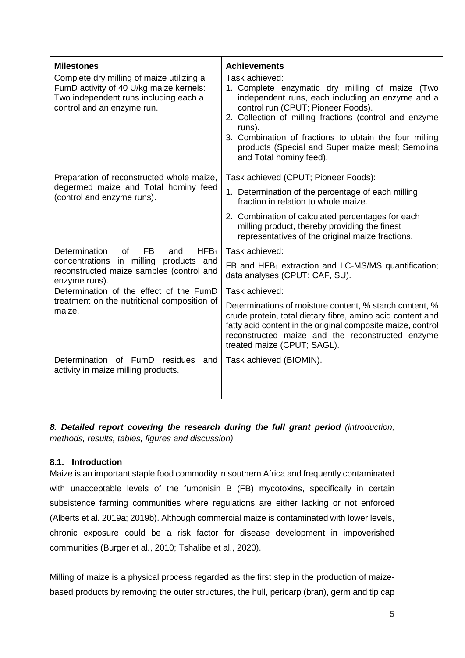| <b>Milestones</b>                                                                                                                                                         | <b>Achievements</b>                                                                                                                                                                                                                                                                                                                                                      |
|---------------------------------------------------------------------------------------------------------------------------------------------------------------------------|--------------------------------------------------------------------------------------------------------------------------------------------------------------------------------------------------------------------------------------------------------------------------------------------------------------------------------------------------------------------------|
| Complete dry milling of maize utilizing a<br>FumD activity of 40 U/kg maize kernels:<br>Two independent runs including each a<br>control and an enzyme run.               | Task achieved:<br>1. Complete enzymatic dry milling of maize (Two<br>independent runs, each including an enzyme and a<br>control run (CPUT; Pioneer Foods).<br>2. Collection of milling fractions (control and enzyme<br>runs).<br>3. Combination of fractions to obtain the four milling<br>products (Special and Super maize meal; Semolina<br>and Total hominy feed). |
| Preparation of reconstructed whole maize,<br>degermed maize and Total hominy feed<br>(control and enzyme runs).                                                           | Task achieved (CPUT; Pioneer Foods):<br>1. Determination of the percentage of each milling<br>fraction in relation to whole maize.<br>2. Combination of calculated percentages for each<br>milling product, thereby providing the finest<br>representatives of the original maize fractions.                                                                             |
| <b>Determination</b><br>of<br><b>FB</b><br>HFB <sub>1</sub><br>and<br>concentrations in milling products and<br>reconstructed maize samples (control and<br>enzyme runs). | Task achieved:<br>FB and $HFB1$ extraction and LC-MS/MS quantification;<br>data analyses (CPUT; CAF, SU).                                                                                                                                                                                                                                                                |
| Determination of the effect of the FumD<br>treatment on the nutritional composition of<br>maize.                                                                          | Task achieved:<br>Determinations of moisture content, % starch content, %<br>crude protein, total dietary fibre, amino acid content and<br>fatty acid content in the original composite maize, control<br>reconstructed maize and the reconstructed enzyme<br>treated maize (CPUT; SAGL).                                                                                |
| Determination of FumD residues<br>and<br>activity in maize milling products.                                                                                              | Task achieved (BIOMIN).                                                                                                                                                                                                                                                                                                                                                  |

# *8. Detailed report covering the research during the full grant period (introduction, methods, results, tables, figures and discussion)*

# **8.1. Introduction**

Maize is an important staple food commodity in southern Africa and frequently contaminated with unacceptable levels of the fumonisin B (FB) mycotoxins, specifically in certain subsistence farming communities where regulations are either lacking or not enforced (Alberts et al. 2019a; 2019b). Although commercial maize is contaminated with lower levels, chronic exposure could be a risk factor for disease development in impoverished communities (Burger et al., 2010; Tshalibe et al., 2020).

Milling of maize is a physical process regarded as the first step in the production of maizebased products by removing the outer structures, the hull, pericarp (bran), germ and tip cap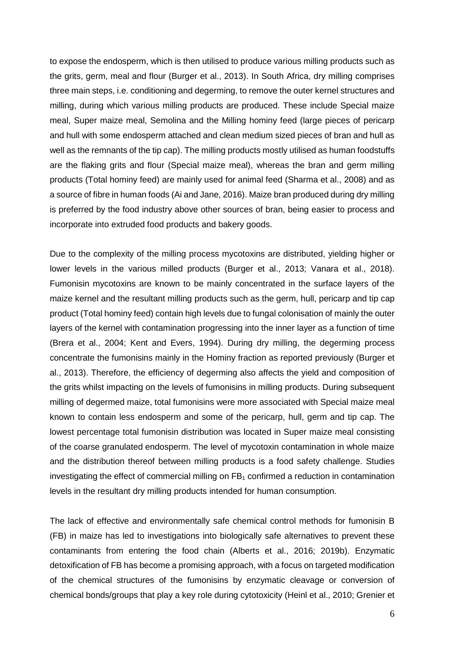to expose the endosperm, which is then utilised to produce various milling products such as the grits, germ, meal and flour (Burger et al., 2013). In South Africa, dry milling comprises three main steps, i.e. conditioning and degerming, to remove the outer kernel structures and milling, during which various milling products are produced. These include Special maize meal, Super maize meal, Semolina and the Milling hominy feed (large pieces of pericarp and hull with some endosperm attached and clean medium sized pieces of bran and hull as well as the remnants of the tip cap). The milling products mostly utilised as human foodstuffs are the flaking grits and flour (Special maize meal), whereas the bran and germ milling products (Total hominy feed) are mainly used for animal feed (Sharma et al., 2008) and as a source of fibre in human foods (Ai and Jane, 2016). Maize bran produced during dry milling is preferred by the food industry above other sources of bran, being easier to process and incorporate into extruded food products and bakery goods.

Due to the complexity of the milling process mycotoxins are distributed, yielding higher or lower levels in the various milled products (Burger et al., 2013; Vanara et al., 2018). Fumonisin mycotoxins are known to be mainly concentrated in the surface layers of the maize kernel and the resultant milling products such as the germ, hull, pericarp and tip cap product (Total hominy feed) contain high levels due to fungal colonisation of mainly the outer layers of the kernel with contamination progressing into the inner layer as a function of time (Brera et al., 2004; Kent and Evers, 1994). During dry milling, the degerming process concentrate the fumonisins mainly in the Hominy fraction as reported previously (Burger et al., 2013). Therefore, the efficiency of degerming also affects the yield and composition of the grits whilst impacting on the levels of fumonisins in milling products. During subsequent milling of degermed maize, total fumonisins were more associated with Special maize meal known to contain less endosperm and some of the pericarp, hull, germ and tip cap. The lowest percentage total fumonisin distribution was located in Super maize meal consisting of the coarse granulated endosperm. The level of mycotoxin contamination in whole maize and the distribution thereof between milling products is a food safety challenge. Studies investigating the effect of commercial milling on  $FB<sub>1</sub>$  confirmed a reduction in contamination levels in the resultant dry milling products intended for human consumption.

The lack of effective and environmentally safe chemical control methods for fumonisin B (FB) in maize has led to investigations into biologically safe alternatives to prevent these contaminants from entering the food chain (Alberts et al., 2016; 2019b). Enzymatic detoxification of FB has become a promising approach, with a focus on targeted modification of the chemical structures of the fumonisins by enzymatic cleavage or conversion of chemical bonds/groups that play a key role during cytotoxicity (Heinl et al., 2010; Grenier et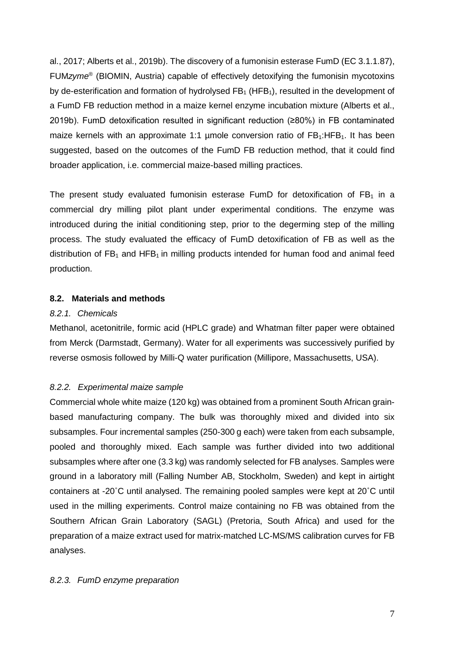al., 2017; Alberts et al., 2019b). The discovery of a fumonisin esterase FumD (EC 3.1.1.87), FUM*zyme*® (BIOMIN, Austria) capable of effectively detoxifying the fumonisin mycotoxins by de-esterification and formation of hydrolysed  $FB<sub>1</sub>$  (HFB<sub>1</sub>), resulted in the development of a FumD FB reduction method in a maize kernel enzyme incubation mixture (Alberts et al., 2019b). FumD detoxification resulted in significant reduction (≥80%) in FB contaminated maize kernels with an approximate 1:1 umole conversion ratio of  $FB_1$ : HFB<sub>1</sub>. It has been suggested, based on the outcomes of the FumD FB reduction method, that it could find broader application, i.e. commercial maize-based milling practices.

The present study evaluated fumonisin esterase FumD for detoxification of  $FB<sub>1</sub>$  in a commercial dry milling pilot plant under experimental conditions. The enzyme was introduced during the initial conditioning step, prior to the degerming step of the milling process. The study evaluated the efficacy of FumD detoxification of FB as well as the distribution of  $FB<sub>1</sub>$  and HFB<sub>1</sub> in milling products intended for human food and animal feed production.

#### **8.2. Materials and methods**

#### *8.2.1. Chemicals*

Methanol, acetonitrile, formic acid (HPLC grade) and Whatman filter paper were obtained from Merck (Darmstadt, Germany). Water for all experiments was successively purified by reverse osmosis followed by Milli-Q water purification (Millipore, Massachusetts, USA).

# *8.2.2. Experimental maize sample*

Commercial whole white maize (120 kg) was obtained from a prominent South African grainbased manufacturing company. The bulk was thoroughly mixed and divided into six subsamples. Four incremental samples (250-300 g each) were taken from each subsample, pooled and thoroughly mixed. Each sample was further divided into two additional subsamples where after one (3.3 kg) was randomly selected for FB analyses. Samples were ground in a laboratory mill (Falling Number AB, Stockholm, Sweden) and kept in airtight containers at -20˚C until analysed. The remaining pooled samples were kept at 20˚C until used in the milling experiments. Control maize containing no FB was obtained from the Southern African Grain Laboratory (SAGL) (Pretoria, South Africa) and used for the preparation of a maize extract used for matrix-matched LC-MS/MS calibration curves for FB analyses.

# *8.2.3. FumD enzyme preparation*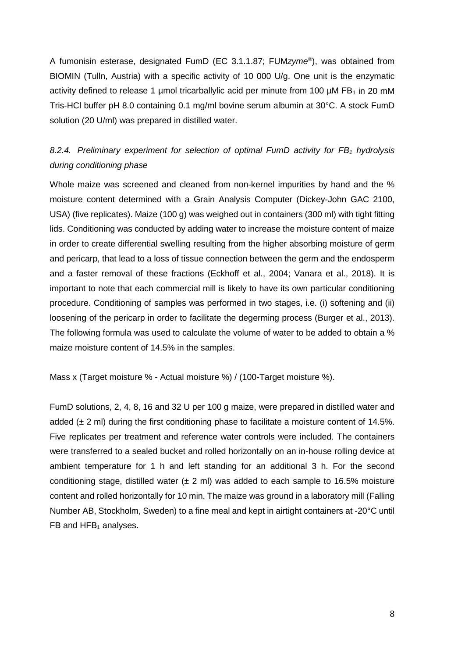A fumonisin esterase, designated FumD (EC 3.1.1.87; FUM*zyme*®), was obtained from BIOMIN (Tulln, Austria) with a specific activity of 10 000 U/g. One unit is the enzymatic activity defined to release 1 umol tricarballylic acid per minute from 100  $\mu$ M FB<sub>1</sub> in 20 mM Tris-HCl buffer pH 8.0 containing 0.1 mg/ml bovine serum albumin at 30°C. A stock FumD solution (20 U/ml) was prepared in distilled water.

# 8.2.4. Preliminary experiment for selection of optimal FumD activity for FB<sub>1</sub> hydrolysis *during conditioning phase*

Whole maize was screened and cleaned from non-kernel impurities by hand and the % moisture content determined with a Grain Analysis Computer (Dickey-John GAC 2100, USA) (five replicates). Maize (100 g) was weighed out in containers (300 ml) with tight fitting lids. Conditioning was conducted by adding water to increase the moisture content of maize in order to create differential swelling resulting from the higher absorbing moisture of germ and pericarp, that lead to a loss of tissue connection between the germ and the endosperm and a faster removal of these fractions (Eckhoff et al., 2004; Vanara et al., 2018). It is important to note that each commercial mill is likely to have its own particular conditioning procedure. Conditioning of samples was performed in two stages, i.e. (i) softening and (ii) loosening of the pericarp in order to facilitate the degerming process (Burger et al., 2013). The following formula was used to calculate the volume of water to be added to obtain a % maize moisture content of 14.5% in the samples.

Mass x (Target moisture % - Actual moisture %) / (100-Target moisture %).

FumD solutions, 2, 4, 8, 16 and 32 U per 100 g maize, were prepared in distilled water and added  $(\pm 2 \text{ ml})$  during the first conditioning phase to facilitate a moisture content of 14.5%. Five replicates per treatment and reference water controls were included. The containers were transferred to a sealed bucket and rolled horizontally on an in-house rolling device at ambient temperature for 1 h and left standing for an additional 3 h. For the second conditioning stage, distilled water  $(\pm 2 \text{ ml})$  was added to each sample to 16.5% moisture content and rolled horizontally for 10 min. The maize was ground in a laboratory mill (Falling Number AB, Stockholm, Sweden) to a fine meal and kept in airtight containers at -20°C until FB and  $HFB<sub>1</sub>$  analyses.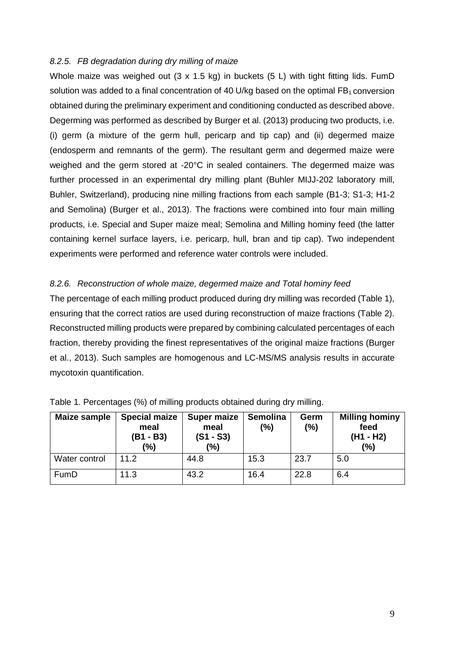#### *8.2.5. FB degradation during dry milling of maize*

Whole maize was weighed out  $(3 \times 1.5 \text{ kg})$  in buckets  $(5 \text{ L})$  with tight fitting lids. FumD solution was added to a final concentration of 40 U/kg based on the optimal  $FB<sub>1</sub>$  conversion obtained during the preliminary experiment and conditioning conducted as described above. Degerming was performed as described by Burger et al. (2013) producing two products, i.e. (i) germ (a mixture of the germ hull, pericarp and tip cap) and (ii) degermed maize (endosperm and remnants of the germ). The resultant germ and degermed maize were weighed and the germ stored at -20°C in sealed containers. The degermed maize was further processed in an experimental dry milling plant (Buhler MIJJ-202 laboratory mill, Buhler, Switzerland), producing nine milling fractions from each sample (B1-3; S1-3; H1-2 and Semolina) (Burger et al., 2013). The fractions were combined into four main milling products, i.e. Special and Super maize meal; Semolina and Milling hominy feed (the latter containing kernel surface layers, i.e. pericarp, hull, bran and tip cap). Two independent experiments were performed and reference water controls were included.

#### *8.2.6. Reconstruction of whole maize, degermed maize and Total hominy feed*

The percentage of each milling product produced during dry milling was recorded (Table 1), ensuring that the correct ratios are used during reconstruction of maize fractions (Table 2). Reconstructed milling products were prepared by combining calculated percentages of each fraction, thereby providing the finest representatives of the original maize fractions (Burger et al., 2013). Such samples are homogenous and LC-MS/MS analysis results in accurate mycotoxin quantification.

| Maize sample  | <b>Special maize</b><br>meal<br>(B1 - B3)<br>(%) | <b>Super maize</b><br>meal<br>$(S1 - S3)$<br>(%) | Semolina<br>$(\%)$ | Germ<br>(%) | <b>Milling hominy</b><br>feed<br>(H <sub>1</sub> - H <sub>2</sub> )<br>(%) |
|---------------|--------------------------------------------------|--------------------------------------------------|--------------------|-------------|----------------------------------------------------------------------------|
| Water control | 11.2                                             | 44.8                                             | 15.3               | 23.7        | 5.0                                                                        |
| FumD          | 11.3                                             | 43.2                                             | 16.4               | 22.8        | 6.4                                                                        |

| Table 1. Percentages (%) of milling products obtained during dry milling. |  |  |  |  |
|---------------------------------------------------------------------------|--|--|--|--|
|                                                                           |  |  |  |  |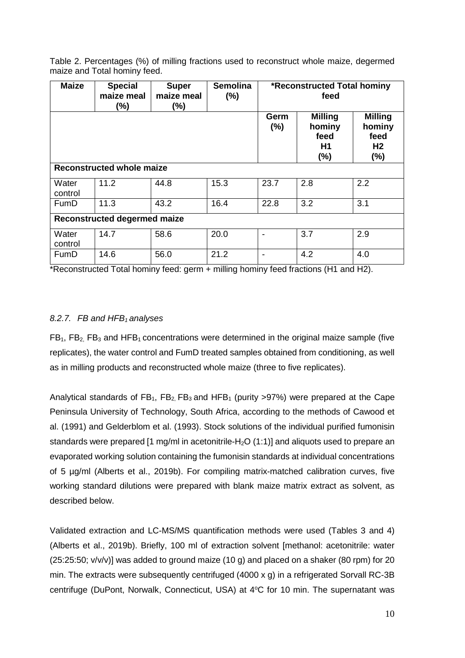Table 2. Percentages (%) of milling fractions used to reconstruct whole maize, degermed maize and Total hominy feed.

| <b>Maize</b>                        | <b>Special</b><br>maize meal<br>$(\%)$ | <b>Super</b><br>maize meal<br>$(\%)$ | <b>Semolina</b><br>(%) | *Reconstructed Total hominy<br>feed |                                                  |                                               |  |
|-------------------------------------|----------------------------------------|--------------------------------------|------------------------|-------------------------------------|--------------------------------------------------|-----------------------------------------------|--|
|                                     |                                        |                                      |                        | Germ<br>(%)                         | <b>Milling</b><br>hominy<br>feed<br>H1<br>$(\%)$ | <b>Milling</b><br>hominy<br>feed<br>H2<br>(%) |  |
|                                     | <b>Reconstructed whole maize</b>       |                                      |                        |                                     |                                                  |                                               |  |
| Water<br>control                    | 11.2                                   | 44.8                                 | 15.3                   | 23.7                                | 2.8                                              | 2.2                                           |  |
| FumD                                | 11.3                                   | 43.2                                 | 16.4                   | 22.8                                | 3.2                                              | 3.1                                           |  |
| <b>Reconstructed degermed maize</b> |                                        |                                      |                        |                                     |                                                  |                                               |  |
| Water<br>control                    | 14.7                                   | 58.6                                 | 20.0                   |                                     | 3.7                                              | 2.9                                           |  |
| FumD                                | 14.6                                   | 56.0                                 | 21.2                   |                                     | 4.2                                              | 4.0                                           |  |

\*Reconstructed Total hominy feed: germ + milling hominy feed fractions (H1 and H2).

# *8.2.7. FB and HFB1 analyses*

 $FB<sub>1</sub>$ ,  $FB<sub>2</sub>$ ,  $FB<sub>3</sub>$  and HFB<sub>1</sub> concentrations were determined in the original maize sample (five replicates), the water control and FumD treated samples obtained from conditioning, as well as in milling products and reconstructed whole maize (three to five replicates).

Analytical standards of  $FB_1$ ,  $FB_2$ ,  $FB_3$  and  $HFB_1$  (purity >97%) were prepared at the Cape Peninsula University of Technology, South Africa, according to the methods of Cawood et al. (1991) and Gelderblom et al. (1993). Stock solutions of the individual purified fumonisin standards were prepared  $[1 \text{ mg/ml} \text{ in acetonitrile-H}_2O (1:1)]$  and aliquots used to prepare an evaporated working solution containing the fumonisin standards at individual concentrations of 5 µg/ml (Alberts et al., 2019b). For compiling matrix-matched calibration curves, five working standard dilutions were prepared with blank maize matrix extract as solvent, as described below.

Validated extraction and LC-MS/MS quantification methods were used (Tables 3 and 4) (Alberts et al., 2019b). Briefly, 100 ml of extraction solvent [methanol: acetonitrile: water  $(25:25:50; v/v/v)$ ] was added to ground maize  $(10 g)$  and placed on a shaker  $(80 rpm)$  for 20 min. The extracts were subsequently centrifuged (4000 x g) in a refrigerated Sorvall RC-3B centrifuge (DuPont, Norwalk, Connecticut, USA) at 4°C for 10 min. The supernatant was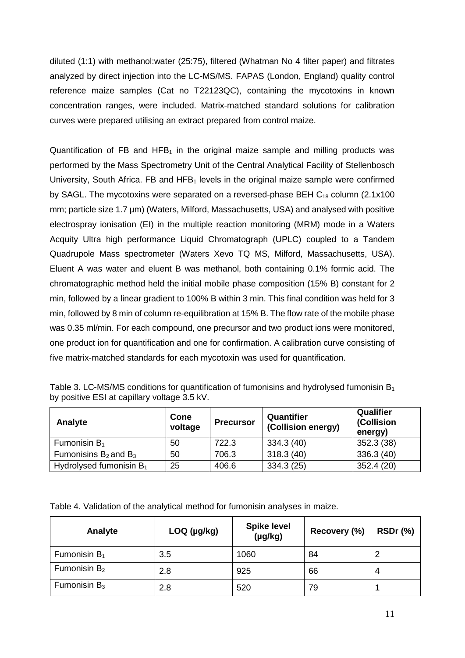diluted (1:1) with methanol:water (25:75), filtered (Whatman No 4 filter paper) and filtrates analyzed by direct injection into the LC-MS/MS. FAPAS (London, England) quality control reference maize samples (Cat no T22123QC), containing the mycotoxins in known concentration ranges, were included. Matrix-matched standard solutions for calibration curves were prepared utilising an extract prepared from control maize.

Quantification of FB and HFB<sub>1</sub> in the original maize sample and milling products was performed by the Mass Spectrometry Unit of the Central Analytical Facility of Stellenbosch University, South Africa. FB and HFB<sub>1</sub> levels in the original maize sample were confirmed by SAGL. The mycotoxins were separated on a reversed-phase BEH  $C_{18}$  column (2.1x100 mm; particle size 1.7 µm) (Waters, Milford, Massachusetts, USA) and analysed with positive electrospray ionisation (EI) in the multiple reaction monitoring (MRM) mode in a Waters Acquity Ultra high performance Liquid Chromatograph (UPLC) coupled to a Tandem Quadrupole Mass spectrometer (Waters Xevo TQ MS, Milford, Massachusetts, USA). Eluent A was water and eluent B was methanol, both containing 0.1% formic acid. The chromatographic method held the initial mobile phase composition (15% B) constant for 2 min, followed by a linear gradient to 100% B within 3 min. This final condition was held for 3 min, followed by 8 min of column re-equilibration at 15% B. The flow rate of the mobile phase was 0.35 ml/min. For each compound, one precursor and two product ions were monitored, one product ion for quantification and one for confirmation. A calibration curve consisting of five matrix-matched standards for each mycotoxin was used for quantification.

| Table 3. LC-MS/MS conditions for quantification of fumonisins and hydrolysed fumonisin $B_1$ |  |
|----------------------------------------------------------------------------------------------|--|
| by positive ESI at capillary voltage 3.5 kV.                                                 |  |

| <b>Analyte</b>             | Cone<br>voltage | <b>Precursor</b> | Quantifier<br>(Collision energy) | Qualifier<br>(Collision<br>energy) |
|----------------------------|-----------------|------------------|----------------------------------|------------------------------------|
| Fumonisin $B_1$            | 50              | 722.3            | 334.3 (40)                       | 352.3 (38)                         |
| Fumonisins $B_2$ and $B_3$ | 50              | 706.3            | 318.3(40)                        | 336.3(40)                          |
| Hydrolysed fumonisin $B_1$ | 25              | 406.6            | 334.3 (25)                       | 352.4(20)                          |

Table 4. Validation of the analytical method for fumonisin analyses in maize.

| Analyte         | $LOQ$ ( $\mu$ g/kg) | <b>Spike level</b><br>$(\mu g/kg)$ | Recovery (%) | <b>RSDr</b> (%) |
|-----------------|---------------------|------------------------------------|--------------|-----------------|
| Fumonisin $B_1$ | 3.5                 | 1060                               | 84           | 2               |
| Fumonisin $B_2$ | 2.8                 | 925                                | 66           | 4               |
| Fumonisin $B_3$ | 2.8                 | 520                                | 79           |                 |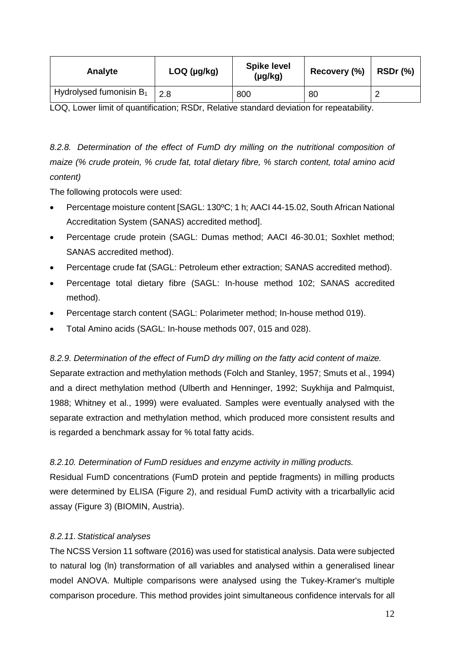| Analyte                             | $LOQ$ ( $\mu$ g/kg) | <b>Spike level</b><br>$(\mu g/kg)$ | Recovery (%) | <b>RSDr</b> (%) |
|-------------------------------------|---------------------|------------------------------------|--------------|-----------------|
| Hydrolysed fumonisin B <sub>1</sub> | 2.8                 | 800                                | 80           |                 |

LOQ, Lower limit of quantification; RSDr, Relative standard deviation for repeatability.

*8.2.8. Determination of the effect of FumD dry milling on the nutritional composition of maize (% crude protein, % crude fat, total dietary fibre, % starch content, total amino acid content)*

The following protocols were used:

- Percentage moisture content [SAGL: 130ºC; 1 h; AACI 44-15.02, South African National Accreditation System (SANAS) accredited method].
- Percentage crude protein (SAGL: Dumas method; AACI 46-30.01; Soxhlet method; SANAS accredited method).
- Percentage crude fat (SAGL: Petroleum ether extraction; SANAS accredited method).
- Percentage total dietary fibre (SAGL: In-house method 102; SANAS accredited method).
- Percentage starch content (SAGL: Polarimeter method; In-house method 019).
- Total Amino acids (SAGL: In-house methods 007, 015 and 028).

#### *8.2.9*. *Determination of the effect of FumD dry milling on the fatty acid content of maize.*

Separate extraction and methylation methods (Folch and Stanley, 1957; Smuts et al., 1994) and a direct methylation method (Ulberth and Henninger, 1992; Suykhija and Palmquist, 1988; Whitney et al., 1999) were evaluated. Samples were eventually analysed with the separate extraction and methylation method, which produced more consistent results and is regarded a benchmark assay for % total fatty acids.

#### *8.2.10. Determination of FumD residues and enzyme activity in milling products.*

Residual FumD concentrations (FumD protein and peptide fragments) in milling products were determined by ELISA (Figure 2), and residual FumD activity with a tricarballylic acid assay (Figure 3) (BIOMIN, Austria).

#### *8.2.11.Statistical analyses*

The NCSS Version 11 software (2016) was used for statistical analysis. Data were subjected to natural log (ln) transformation of all variables and analysed within a generalised linear model ANOVA. Multiple comparisons were analysed using the Tukey-Kramer's multiple comparison procedure. This method provides joint simultaneous confidence intervals for all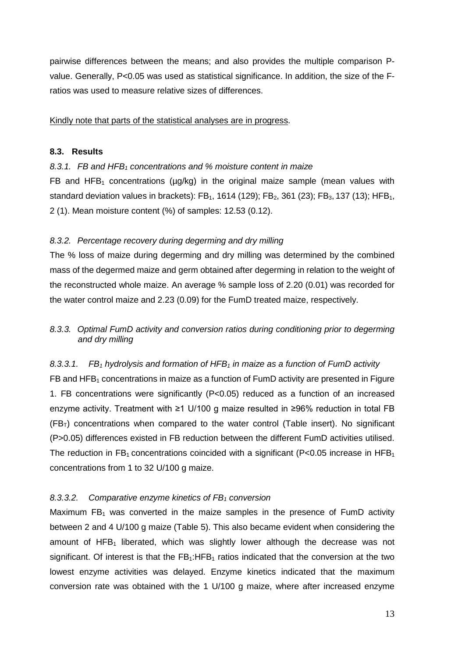pairwise differences between the means; and also provides the multiple comparison Pvalue. Generally, P<0.05 was used as statistical significance. In addition, the size of the Fratios was used to measure relative sizes of differences.

Kindly note that parts of the statistical analyses are in progress.

#### **8.3. Results**

*8.3.1. FB and HFB1 concentrations and % moisture content in maize*

FB and HFB<sub>1</sub> concentrations ( $\mu$ g/kg) in the original maize sample (mean values with standard deviation values in brackets): FB<sub>1</sub>, 1614 (129); FB<sub>2</sub>, 361 (23); FB<sub>3</sub>, 137 (13); HFB<sub>1</sub>, 2 (1). Mean moisture content (%) of samples: 12.53 (0.12).

# *8.3.2. Percentage recovery during degerming and dry milling*

The % loss of maize during degerming and dry milling was determined by the combined mass of the degermed maize and germ obtained after degerming in relation to the weight of the reconstructed whole maize. An average % sample loss of 2.20 (0.01) was recorded for the water control maize and 2.23 (0.09) for the FumD treated maize, respectively.

*8.3.3. Optimal FumD activity and conversion ratios during conditioning prior to degerming and dry milling*

*8.3.3.1. FB1 hydrolysis and formation of HFB1 in maize as a function of FumD activity* 

FB and HFB1 concentrations in maize as a function of FumD activity are presented in Figure 1. FB concentrations were significantly (P<0.05) reduced as a function of an increased enzyme activity. Treatment with ≥1 U/100 g maize resulted in ≥96% reduction in total FB  $(FB<sub>T</sub>)$  concentrations when compared to the water control (Table insert). No significant (P>0.05) differences existed in FB reduction between the different FumD activities utilised. The reduction in  $FB_1$  concentrations coincided with a significant (P<0.05 increase in HFB<sub>1</sub> concentrations from 1 to 32 U/100 g maize.

#### *8.3.3.2. Comparative enzyme kinetics of FB1 conversion*

Maximum  $FB<sub>1</sub>$  was converted in the maize samples in the presence of FumD activity between 2 and 4 U/100 g maize (Table 5). This also became evident when considering the amount of  $HFB<sub>1</sub>$  liberated, which was slightly lower although the decrease was not significant. Of interest is that the  $FB_1:HFB_1$  ratios indicated that the conversion at the two lowest enzyme activities was delayed. Enzyme kinetics indicated that the maximum conversion rate was obtained with the 1 U/100 g maize, where after increased enzyme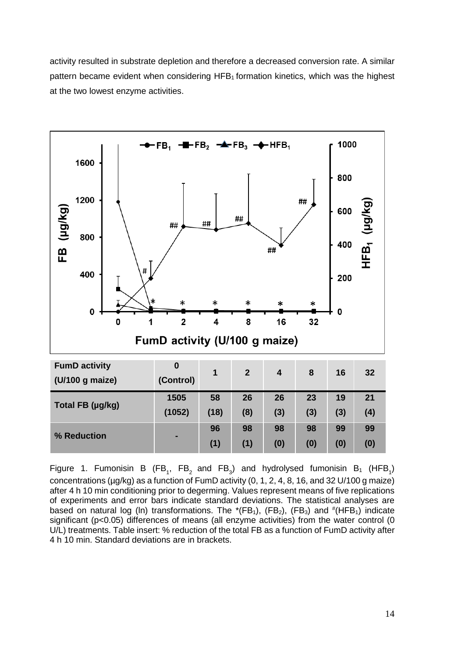activity resulted in substrate depletion and therefore a decreased conversion rate. A similar pattern became evident when considering  $HFB<sub>1</sub>$  formation kinetics, which was the highest at the two lowest enzyme activities.



Figure 1. Fumonisin B (FB<sub>1</sub>, FB<sub>2</sub> and FB<sub>3</sub>) and hydrolysed fumonisin B<sub>1</sub> (HFB<sub>1</sub>) concentrations (µg/kg) as a function of FumD activity (0, 1, 2, 4, 8, 16, and 32 U/100 g maize) after 4 h 10 min conditioning prior to degerming. Values represent means of five replications of experiments and error bars indicate standard deviations. The statistical analyses are based on natural log (In) transformations. The  $*(FB_1)$ ,  $(FB_2)$ ,  $(FB_3)$  and  $*(HFB_1)$  indicate significant (p<0.05) differences of means (all enzyme activities) from the water control (0 U/L) treatments. Table insert: % reduction of the total FB as a function of FumD activity after 4 h 10 min. Standard deviations are in brackets.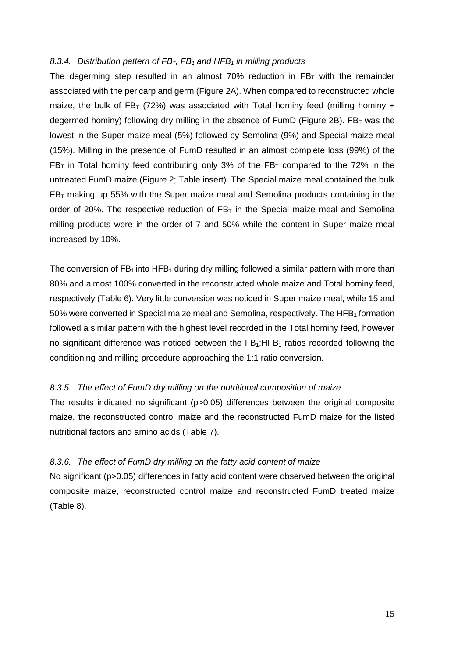#### *8.3.4. Distribution pattern of FBT, FB1 and HFB1 in milling products*

The degerming step resulted in an almost 70% reduction in  $FB<sub>T</sub>$  with the remainder associated with the pericarp and germ (Figure 2A). When compared to reconstructed whole maize, the bulk of  $FB<sub>T</sub>$  (72%) was associated with Total hominy feed (milling hominy + degermed hominy) following dry milling in the absence of FumD (Figure 2B).  $FB<sub>T</sub>$  was the lowest in the Super maize meal (5%) followed by Semolina (9%) and Special maize meal (15%). Milling in the presence of FumD resulted in an almost complete loss (99%) of the  $FB<sub>T</sub>$  in Total hominy feed contributing only 3% of the  $FB<sub>T</sub>$  compared to the 72% in the untreated FumD maize (Figure 2; Table insert). The Special maize meal contained the bulk  $FB<sub>T</sub>$  making up 55% with the Super maize meal and Semolina products containing in the order of 20%. The respective reduction of  $FB<sub>T</sub>$  in the Special maize meal and Semolina milling products were in the order of 7 and 50% while the content in Super maize meal increased by 10%.

The conversion of  $FB<sub>1</sub>$  into HFB<sub>1</sub> during dry milling followed a similar pattern with more than 80% and almost 100% converted in the reconstructed whole maize and Total hominy feed, respectively (Table 6). Very little conversion was noticed in Super maize meal, while 15 and 50% were converted in Special maize meal and Semolina, respectively. The  $HFB<sub>1</sub>$  formation followed a similar pattern with the highest level recorded in the Total hominy feed, however no significant difference was noticed between the  $FB_1:HFB_1$  ratios recorded following the conditioning and milling procedure approaching the 1:1 ratio conversion.

#### *8.3.5. The effect of FumD dry milling on the nutritional composition of maize*

The results indicated no significant (p>0.05) differences between the original composite maize, the reconstructed control maize and the reconstructed FumD maize for the listed nutritional factors and amino acids (Table 7).

#### *8.3.6. The effect of FumD dry milling on the fatty acid content of maize*

No significant (p>0.05) differences in fatty acid content were observed between the original composite maize, reconstructed control maize and reconstructed FumD treated maize (Table 8).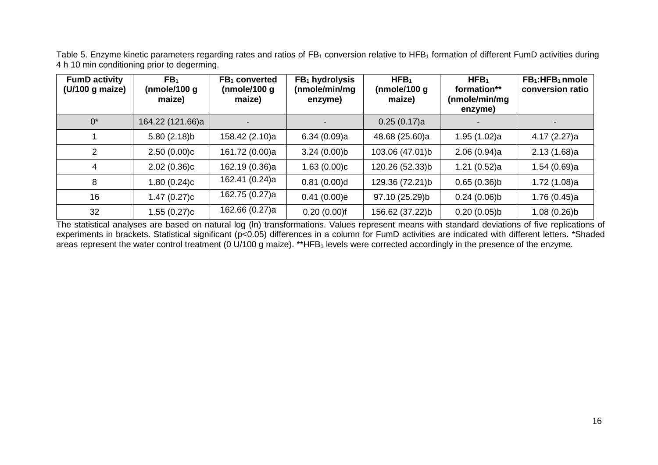Table 5. Enzyme kinetic parameters regarding rates and ratios of  $FB<sub>1</sub>$  conversion relative to HFB<sub>1</sub> formation of different FumD activities during 4 h 10 min conditioning prior to degerming.

| <b>FumD activity</b><br>(U/100 g maize) | FB <sub>1</sub><br>(nmole/100 g<br>maize) | FB <sub>1</sub> converted<br>(nmole/100 $q$<br>maize) | $FB1$ hydrolysis<br>(nmole/min/mg<br>enzyme) | HFB <sub>1</sub><br>(nmole/100 $q$<br>maize) | HFB <sub>1</sub><br>formation**<br>(nmole/min/mg<br>enzyme) | $FB_1: HFB_1$ nmole<br>conversion ratio |
|-----------------------------------------|-------------------------------------------|-------------------------------------------------------|----------------------------------------------|----------------------------------------------|-------------------------------------------------------------|-----------------------------------------|
| $0^*$                                   | 164.22 (121.66)a                          |                                                       |                                              | 0.25(0.17)a                                  |                                                             |                                         |
|                                         | $5.80(2.18)$ b                            | 158.42 (2.10)a                                        | 6.34(0.09)a                                  | 48.68 (25.60)a                               | 1.95 (1.02)a                                                | 4.17 (2.27)a                            |
| $\mathcal{P}$                           | 2.50(0.00)c                               | 161.72 (0.00)a                                        | 3.24(0.00)b                                  | 103.06 (47.01)b                              | 2.06(0.94)a                                                 | 2.13(1.68)a                             |
| 4                                       | 2.02(0.36)c                               | 162.19 (0.36)a                                        | 1.63 (0.00)c                                 | 120.26 (52.33)b                              | 1.21(0.52)a                                                 | 1.54 (0.69)a                            |
| 8                                       | 1.80(0.24)c                               | 162.41 (0.24)a                                        | 0.81(0.00)d                                  | 129.36 (72.21)b                              | 0.65(0.36)b                                                 | 1.72(1.08)a                             |
| 16                                      | 1.47(0.27)c                               | 162.75 (0.27)a                                        | 0.41(0.00)e                                  | 97.10 (25.29)b                               | 0.24(0.06)b                                                 | 1.76(0.45)a                             |
| 32                                      | 1.55(0.27)c                               | 162.66 (0.27)a                                        | $0.20(0.00)$ f                               | 156.62 (37.22)b                              | 0.20(0.05)b                                                 | $1.08(0.26)$ b                          |

The statistical analyses are based on natural log (In) transformations. Values represent means with standard deviations of five replications of experiments in brackets. Statistical significant (p<0.05) differences in a column for FumD activities are indicated with different letters. \*Shaded areas represent the water control treatment (0 U/100 g maize). \*\*HFB<sub>1</sub> levels were corrected accordingly in the presence of the enzyme.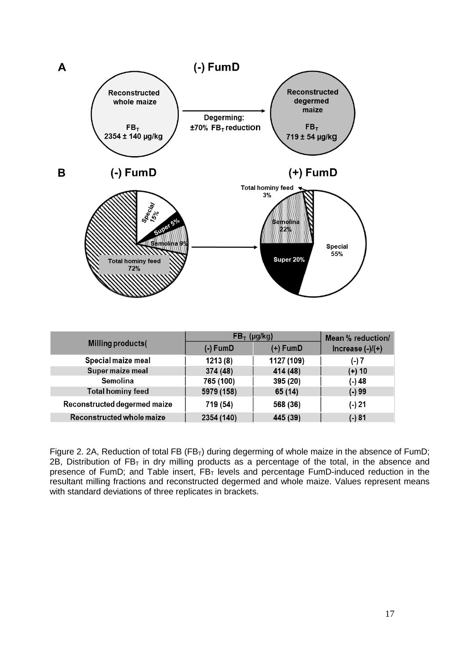

|                              | $FB_{T}$ (µg/kg) | Mean % reduction/ |                    |
|------------------------------|------------------|-------------------|--------------------|
| Milling products(            | $(-)$ FumD       | $(+)$ FumD        | Increase $(-)/(+)$ |
| Special maize meal           | 1213(8)          | 1127 (109)        | (-) 7              |
| Super maize meal             | 374 (48)         | 414 (48)          | $(+)$ 10           |
| Semolina                     | 765 (100)        | 395 (20)          | (-) 48             |
| <b>Total hominy feed</b>     | 5979 (158)       | 65 (14)           | $(-)99$            |
| Reconstructed degermed maize | 719 (54)         | 568 (36)          | $(-) 21$           |
| Reconstructed whole maize    | 2354 (140)       | 445 (39)          | $(-) 81$           |

Figure 2. 2A, Reduction of total FB (FB<sub>T</sub>) during degerming of whole maize in the absence of FumD; 2B, Distribution of  $FB<sub>T</sub>$  in dry milling products as a percentage of the total, in the absence and presence of FumD; and Table insert,  $FB<sub>T</sub>$  levels and percentage FumD-induced reduction in the resultant milling fractions and reconstructed degermed and whole maize. Values represent means with standard deviations of three replicates in brackets.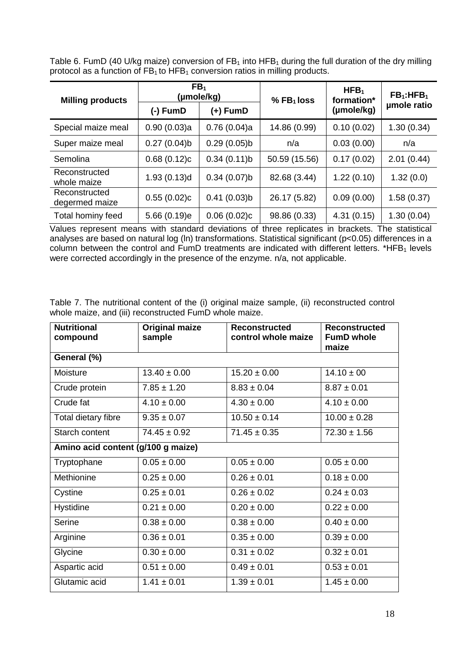| Table 6. FumD (40 U/kg maize) conversion of $FB_1$ into HFB <sub>1</sub> during the full duration of the dry milling |  |  |  |  |
|----------------------------------------------------------------------------------------------------------------------|--|--|--|--|
| protocol as a function of FB <sub>1</sub> to HFB <sub>1</sub> conversion ratios in milling products.                 |  |  |  |  |

| <b>Milling products</b>         | FB <sub>1</sub> | (µmole/kg)  | $%$ FB <sub>1</sub> loss | HFB <sub>1</sub><br>formation* | $FB_1$ :HFB <sub>1</sub> |  |
|---------------------------------|-----------------|-------------|--------------------------|--------------------------------|--------------------------|--|
|                                 | (-) FumD        | (+) FumD    |                          | (µmole/kg)                     | umole ratio              |  |
| Special maize meal              | 0.90(0.03)a     | 0.76(0.04)a | 14.86 (0.99)             | 0.10(0.02)                     | 1.30(0.34)               |  |
| Super maize meal                | 0.27(0.04)b     | 0.29(0.05)b | n/a                      | 0.03(0.00)                     | n/a                      |  |
| Semolina                        | 0.68(0.12)c     | 0.34(0.11)b | 50.59 (15.56)            | 0.17(0.02)                     | 2.01(0.44)               |  |
| Reconstructed<br>whole maize    | 1.93(0.13)d     | 0.34(0.07)b | 82.68 (3.44)             | 1.22(0.10)                     | 1.32(0.0)                |  |
| Reconstructed<br>degermed maize | 0.55(0.02)c     | 0.41(0.03)b | 26.17 (5.82)             | 0.09(0.00)                     | 1.58(0.37)               |  |
| Total hominy feed               | 5.66 (0.19)e    | 0.06(0.02)c | 98.86 (0.33)             | 4.31(0.15)                     | 1.30(0.04)               |  |

Values represent means with standard deviations of three replicates in brackets. The statistical analyses are based on natural log (ln) transformations. Statistical significant (p<0.05) differences in a column between the control and FumD treatments are indicated with different letters. \*HFB<sub>1</sub> levels were corrected accordingly in the presence of the enzyme. n/a, not applicable.

|  |                                                        |  |  |  | Table 7. The nutritional content of the (i) original maize sample, (ii) reconstructed control |  |
|--|--------------------------------------------------------|--|--|--|-----------------------------------------------------------------------------------------------|--|
|  | whole maize, and (iii) reconstructed FumD whole maize. |  |  |  |                                                                                               |  |

| <b>Nutritional</b><br>compound     | <b>Original maize</b><br>sample | <b>Reconstructed</b><br>control whole maize | <b>Reconstructed</b><br><b>FumD whole</b><br>maize |
|------------------------------------|---------------------------------|---------------------------------------------|----------------------------------------------------|
| General (%)                        |                                 |                                             |                                                    |
| Moisture                           | $13.40 \pm 0.00$                | $15.20 \pm 0.00$                            | $14.10 \pm 00$                                     |
| Crude protein                      | $7.85 \pm 1.20$                 | $8.83 \pm 0.04$                             | $8.87 \pm 0.01$                                    |
| Crude fat                          | $4.10 \pm 0.00$                 | $4.30 \pm 0.00$                             | $4.10 \pm 0.00$                                    |
| Total dietary fibre                | $9.35 \pm 0.07$                 | $10.50 \pm 0.14$                            | $10.00 \pm 0.28$                                   |
| Starch content                     | $74.45 \pm 0.92$                | $71.45 \pm 0.35$                            | $72.30 \pm 1.56$                                   |
| Amino acid content (g/100 g maize) |                                 |                                             |                                                    |
| Tryptophane                        | $0.05 \pm 0.00$                 | $0.05 \pm 0.00$                             | $0.05 \pm 0.00$                                    |
| Methionine                         | $0.25 \pm 0.00$                 | $0.26 \pm 0.01$                             | $0.18 \pm 0.00$                                    |
| Cystine                            | $0.25 \pm 0.01$                 | $0.26 \pm 0.02$                             | $0.24 \pm 0.03$                                    |
| Hystidine                          | $0.21 \pm 0.00$                 | $0.20 \pm 0.00$                             | $0.22 \pm 0.00$                                    |
| Serine                             | $0.38 \pm 0.00$                 | $0.38 \pm 0.00$                             | $0.40 \pm 0.00$                                    |
| Arginine                           | $0.36 \pm 0.01$                 | $0.35 \pm 0.00$                             | $0.39 \pm 0.00$                                    |
| Glycine                            | $0.30 \pm 0.00$                 | $0.31 \pm 0.02$                             | $0.32 \pm 0.01$                                    |
| Aspartic acid                      | $0.51 \pm 0.00$                 | $0.49 \pm 0.01$                             | $0.53 \pm 0.01$                                    |
| Glutamic acid                      | $1.41 \pm 0.01$                 | $1.39 \pm 0.01$                             | $1.45 \pm 0.00$                                    |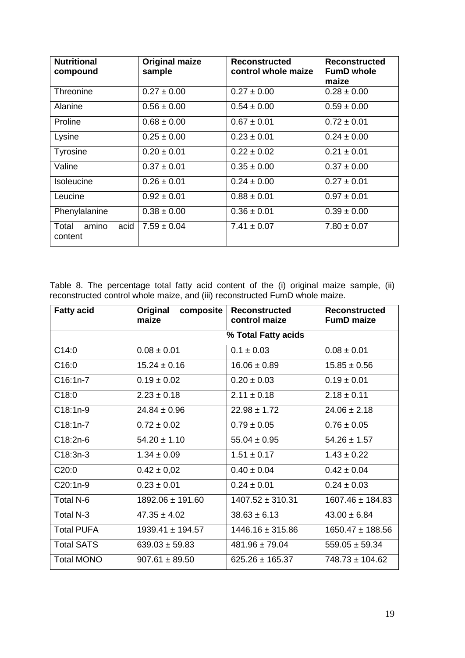| <b>Nutritional</b><br>compound    | <b>Original maize</b><br>sample | <b>Reconstructed</b><br>control whole maize | <b>Reconstructed</b><br><b>FumD</b> whole<br>maize |
|-----------------------------------|---------------------------------|---------------------------------------------|----------------------------------------------------|
| Threonine                         | $0.27 \pm 0.00$                 | $0.27 \pm 0.00$                             | $0.28 \pm 0.00$                                    |
| Alanine                           | $0.56 \pm 0.00$                 | $0.54 \pm 0.00$                             | $0.59 \pm 0.00$                                    |
| Proline                           | $0.68 \pm 0.00$                 | $0.67 \pm 0.01$                             | $0.72 \pm 0.01$                                    |
| Lysine                            | $0.25 \pm 0.00$                 | $0.23 \pm 0.01$                             | $0.24 \pm 0.00$                                    |
| Tyrosine                          | $0.20 \pm 0.01$                 | $0.22 \pm 0.02$                             | $0.21 \pm 0.01$                                    |
| Valine                            | $0.37 \pm 0.01$                 | $0.35 \pm 0.00$                             | $0.37 \pm 0.00$                                    |
| <b>Isoleucine</b>                 | $0.26 \pm 0.01$                 | $0.24 \pm 0.00$                             | $0.27 \pm 0.01$                                    |
| Leucine                           | $0.92 \pm 0.01$                 | $0.88 \pm 0.01$                             | $0.97 \pm 0.01$                                    |
| Phenylalanine                     | $0.38 \pm 0.00$                 | $0.36 \pm 0.01$                             | $0.39 \pm 0.00$                                    |
| Total<br>acid<br>amino<br>content | $7.59 \pm 0.04$                 | $7.41 \pm 0.07$                             | $7.80 \pm 0.07$                                    |

Table 8. The percentage total fatty acid content of the (i) original maize sample, (ii) reconstructed control whole maize, and (iii) reconstructed FumD whole maize.

| <b>Fatty acid</b> | Original<br>composite<br>maize               | <b>Reconstructed</b><br>control maize | <b>Reconstructed</b><br><b>FumD maize</b> |
|-------------------|----------------------------------------------|---------------------------------------|-------------------------------------------|
|                   |                                              | % Total Fatty acids                   |                                           |
| C14:0             | $0.08 \pm 0.01$                              | $0.1 \pm 0.03$                        | $0.08 \pm 0.01$                           |
| C16:0             | $15.24 \pm 0.16$                             | $16.06 \pm 0.89$                      | $15.85 \pm 0.56$                          |
| C16:1n-7          | $0.19 \pm 0.02$                              | $0.20 \pm 0.03$                       | $0.19 \pm 0.01$                           |
| C18:0             | $2.23 \pm 0.18$                              | $2.11 \pm 0.18$                       | $2.18 \pm 0.11$                           |
| $C18:1n-9$        | $24.84 \pm 0.96$                             | $22.98 \pm 1.72$                      | $24.06 \pm 2.18$                          |
| $C18:1n-7$        | $0.72 \pm 0.02$                              | $0.79 \pm 0.05$                       | $0.76 \pm 0.05$                           |
| C18:2n-6          | $54.20 \pm 1.10$                             | $55.04 \pm 0.95$                      | $54.26 \pm 1.57$                          |
| $C18:3n-3$        | $1.34 \pm 0.09$                              | $1.51 \pm 0.17$                       | $1.43 \pm 0.22$                           |
| C20:0             | $0.42 \pm 0.02$                              | $0.40 \pm 0.04$                       | $0.42 \pm 0.04$                           |
| C20:1n-9          | $0.23 \pm 0.01$                              | $0.24 \pm 0.01$                       | $0.24 \pm 0.03$                           |
| Total N-6         | $1892.06 \pm 191.60$                         | $1407.52 \pm 310.31$                  | $1607.46 \pm 184.83$                      |
| Total N-3         | $47.35 \pm 4.02$                             | $38.63 \pm 6.13$                      | $43.00 \pm 6.84$                          |
| <b>Total PUFA</b> | $1939.41 \pm 194.57$<br>$1446.16 \pm 315.86$ |                                       | $1650.47 \pm 188.56$                      |
| <b>Total SATS</b> | $639.03 \pm 59.83$<br>$481.96 \pm 79.04$     |                                       | $559.05 \pm 59.34$                        |
| <b>Total MONO</b> | $907.61 \pm 89.50$                           | $625.26 \pm 165.37$                   | $748.73 \pm 104.62$                       |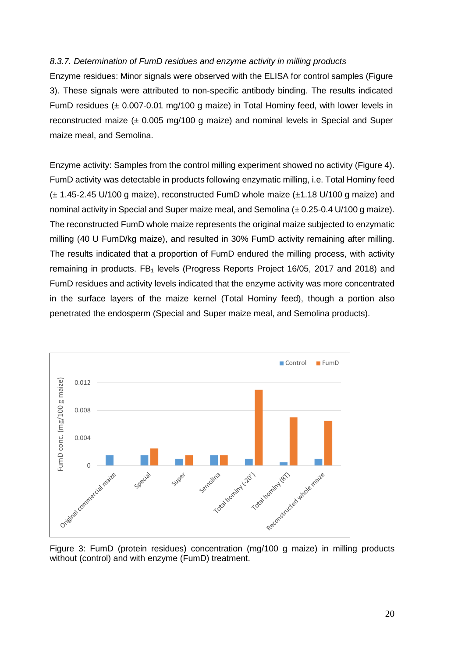#### *8.3.7. Determination of FumD residues and enzyme activity in milling products*

Enzyme residues: Minor signals were observed with the ELISA for control samples (Figure 3). These signals were attributed to non-specific antibody binding. The results indicated FumD residues ( $\pm$  0.007-0.01 mg/100 g maize) in Total Hominy feed, with lower levels in reconstructed maize  $(\pm 0.005 \text{ mq}/100 \text{ q} \text{ m} \text{a} \text{iz})$  and nominal levels in Special and Super maize meal, and Semolina.

Enzyme activity: Samples from the control milling experiment showed no activity (Figure 4). FumD activity was detectable in products following enzymatic milling, i.e. Total Hominy feed (± 1.45-2.45 U/100 g maize), reconstructed FumD whole maize (±1.18 U/100 g maize) and nominal activity in Special and Super maize meal, and Semolina (± 0.25-0.4 U/100 g maize). The reconstructed FumD whole maize represents the original maize subjected to enzymatic milling (40 U FumD/kg maize), and resulted in 30% FumD activity remaining after milling. The results indicated that a proportion of FumD endured the milling process, with activity remaining in products.  $FB<sub>1</sub>$  levels (Progress Reports Project 16/05, 2017 and 2018) and FumD residues and activity levels indicated that the enzyme activity was more concentrated in the surface layers of the maize kernel (Total Hominy feed), though a portion also penetrated the endosperm (Special and Super maize meal, and Semolina products).



Figure 3: FumD (protein residues) concentration (mg/100 g maize) in milling products without (control) and with enzyme (FumD) treatment.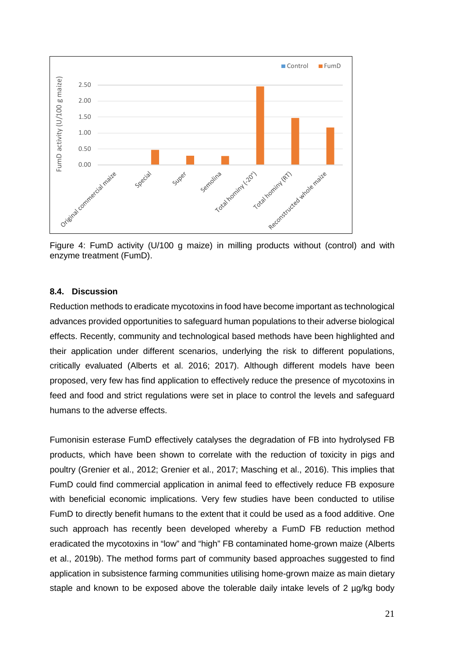

Figure 4: FumD activity (U/100 g maize) in milling products without (control) and with enzyme treatment (FumD).

#### **8.4. Discussion**

Reduction methods to eradicate mycotoxins in food have become important as technological advances provided opportunities to safeguard human populations to their adverse biological effects. Recently, community and technological based methods have been highlighted and their application under different scenarios, underlying the risk to different populations, critically evaluated (Alberts et al. 2016; 2017). Although different models have been proposed, very few has find application to effectively reduce the presence of mycotoxins in feed and food and strict regulations were set in place to control the levels and safeguard humans to the adverse effects.

Fumonisin esterase FumD effectively catalyses the degradation of FB into hydrolysed FB products, which have been shown to correlate with the reduction of toxicity in pigs and poultry (Grenier et al., 2012; Grenier et al., 2017; Masching et al., 2016). This implies that FumD could find commercial application in animal feed to effectively reduce FB exposure with beneficial economic implications. Very few studies have been conducted to utilise FumD to directly benefit humans to the extent that it could be used as a food additive. One such approach has recently been developed whereby a FumD FB reduction method eradicated the mycotoxins in "low" and "high" FB contaminated home-grown maize (Alberts et al., 2019b). The method forms part of community based approaches suggested to find application in subsistence farming communities utilising home-grown maize as main dietary staple and known to be exposed above the tolerable daily intake levels of 2 µg/kg body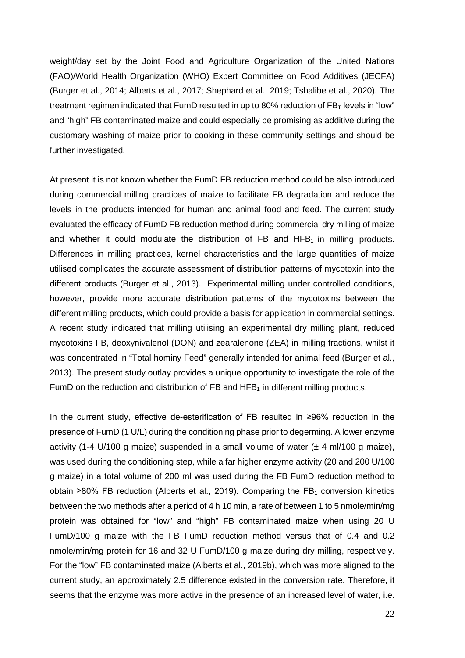weight/day set by the Joint Food and Agriculture Organization of the United Nations (FAO)/World Health Organization (WHO) Expert Committee on Food Additives (JECFA) (Burger et al., 2014; Alberts et al., 2017; Shephard et al., 2019; Tshalibe et al., 2020). The treatment regimen indicated that FumD resulted in up to 80% reduction of  $FB<sub>T</sub>$  levels in "low" and "high" FB contaminated maize and could especially be promising as additive during the customary washing of maize prior to cooking in these community settings and should be further investigated.

At present it is not known whether the FumD FB reduction method could be also introduced during commercial milling practices of maize to facilitate FB degradation and reduce the levels in the products intended for human and animal food and feed. The current study evaluated the efficacy of FumD FB reduction method during commercial dry milling of maize and whether it could modulate the distribution of FB and HFB $<sub>1</sub>$  in milling products.</sub> Differences in milling practices, kernel characteristics and the large quantities of maize utilised complicates the accurate assessment of distribution patterns of mycotoxin into the different products (Burger et al., 2013). Experimental milling under controlled conditions, however, provide more accurate distribution patterns of the mycotoxins between the different milling products, which could provide a basis for application in commercial settings. A recent study indicated that milling utilising an experimental dry milling plant, reduced mycotoxins FB, deoxynivalenol (DON) and zearalenone (ZEA) in milling fractions, whilst it was concentrated in "Total hominy Feed" generally intended for animal feed (Burger et al., 2013). The present study outlay provides a unique opportunity to investigate the role of the FumD on the reduction and distribution of FB and  $HFB<sub>1</sub>$  in different milling products.

In the current study, effective de-esterification of FB resulted in ≥96% reduction in the presence of FumD (1 U/L) during the conditioning phase prior to degerming. A lower enzyme activity (1-4 U/100 g maize) suspended in a small volume of water  $(\pm 4 \text{ ml}/100 \text{ q} \text{ maize})$ , was used during the conditioning step, while a far higher enzyme activity (20 and 200 U/100 g maize) in a total volume of 200 ml was used during the FB FumD reduction method to obtain ≥80% FB reduction (Alberts et al., 2019). Comparing the FB<sub>1</sub> conversion kinetics between the two methods after a period of 4 h 10 min, a rate of between 1 to 5 nmole/min/mg protein was obtained for "low" and "high" FB contaminated maize when using 20 U FumD/100 g maize with the FB FumD reduction method versus that of 0.4 and 0.2 nmole/min/mg protein for 16 and 32 U FumD/100 g maize during dry milling, respectively. For the "low" FB contaminated maize (Alberts et al., 2019b), which was more aligned to the current study, an approximately 2.5 difference existed in the conversion rate. Therefore, it seems that the enzyme was more active in the presence of an increased level of water, i.e.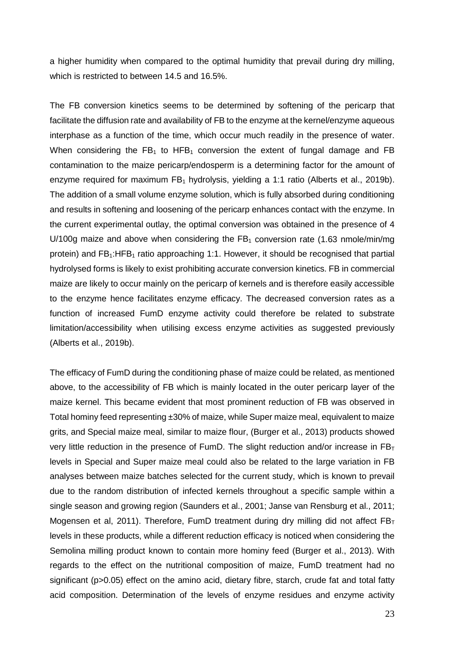a higher humidity when compared to the optimal humidity that prevail during dry milling, which is restricted to between 14.5 and 16.5%.

The FB conversion kinetics seems to be determined by softening of the pericarp that facilitate the diffusion rate and availability of FB to the enzyme at the kernel/enzyme aqueous interphase as a function of the time, which occur much readily in the presence of water. When considering the  $FB<sub>1</sub>$  to HFB<sub>1</sub> conversion the extent of fungal damage and FB contamination to the maize pericarp/endosperm is a determining factor for the amount of enzyme required for maximum  $FB<sub>1</sub>$  hydrolysis, yielding a 1:1 ratio (Alberts et al., 2019b). The addition of a small volume enzyme solution, which is fully absorbed during conditioning and results in softening and loosening of the pericarp enhances contact with the enzyme. In the current experimental outlay, the optimal conversion was obtained in the presence of 4 U/100g maize and above when considering the  $FB_1$  conversion rate (1.63 nmole/min/mg protein) and  $FB_1:HFB_1$  ratio approaching 1:1. However, it should be recognised that partial hydrolysed forms is likely to exist prohibiting accurate conversion kinetics. FB in commercial maize are likely to occur mainly on the pericarp of kernels and is therefore easily accessible to the enzyme hence facilitates enzyme efficacy. The decreased conversion rates as a function of increased FumD enzyme activity could therefore be related to substrate limitation/accessibility when utilising excess enzyme activities as suggested previously (Alberts et al., 2019b).

The efficacy of FumD during the conditioning phase of maize could be related, as mentioned above, to the accessibility of FB which is mainly located in the outer pericarp layer of the maize kernel. This became evident that most prominent reduction of FB was observed in Total hominy feed representing ±30% of maize, while Super maize meal, equivalent to maize grits, and Special maize meal, similar to maize flour, (Burger et al., 2013) products showed very little reduction in the presence of FumD. The slight reduction and/or increase in  $FB_T$ levels in Special and Super maize meal could also be related to the large variation in FB analyses between maize batches selected for the current study, which is known to prevail due to the random distribution of infected kernels throughout a specific sample within a single season and growing region (Saunders et al., 2001; Janse van Rensburg et al., 2011; Mogensen et al, 2011). Therefore, FumD treatment during dry milling did not affect  $FB<sub>T</sub>$ levels in these products, while a different reduction efficacy is noticed when considering the Semolina milling product known to contain more hominy feed (Burger et al., 2013). With regards to the effect on the nutritional composition of maize, FumD treatment had no significant (p>0.05) effect on the amino acid, dietary fibre, starch, crude fat and total fatty acid composition. Determination of the levels of enzyme residues and enzyme activity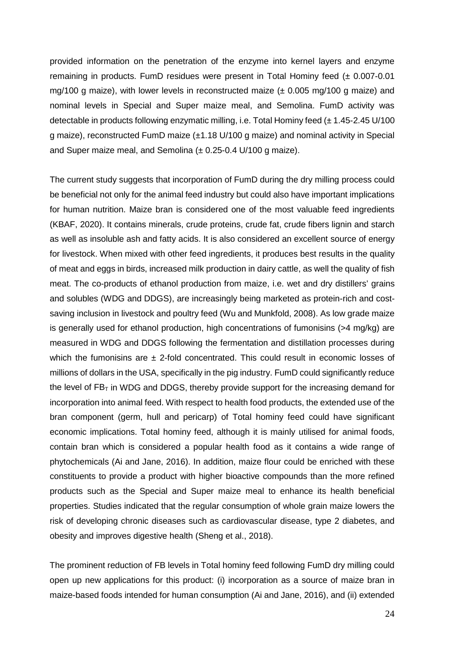provided information on the penetration of the enzyme into kernel layers and enzyme remaining in products. FumD residues were present in Total Hominy feed  $(\pm 0.007 - 0.01)$ mg/100 g maize), with lower levels in reconstructed maize  $(\pm 0.005 \text{ mg}/100 \text{ g} \text{ ma} \text{ize})$  and nominal levels in Special and Super maize meal, and Semolina. FumD activity was detectable in products following enzymatic milling, i.e. Total Hominy feed (± 1.45-2.45 U/100 g maize), reconstructed FumD maize (±1.18 U/100 g maize) and nominal activity in Special and Super maize meal, and Semolina  $(\pm 0.25 - 0.4 \text{ U}/100 \text{ g}$  maize).

The current study suggests that incorporation of FumD during the dry milling process could be beneficial not only for the animal feed industry but could also have important implications for human nutrition. Maize bran is considered one of the most valuable feed ingredients (KBAF, 2020). It contains minerals, crude proteins, crude fat, crude fibers lignin and starch as well as insoluble ash and fatty acids. It is also considered an excellent source of energy for livestock. When mixed with other feed ingredients, it produces best results in the quality of meat and eggs in birds, increased milk production in dairy cattle, as well the quality of fish meat. The co-products of ethanol production from maize, i.e. wet and dry distillers' grains and solubles (WDG and DDGS), are increasingly being marketed as protein-rich and costsaving inclusion in livestock and poultry feed (Wu and Munkfold, 2008). As low grade maize is generally used for ethanol production, high concentrations of fumonisins (>4 mg/kg) are measured in WDG and DDGS following the fermentation and distillation processes during which the fumonisins are  $\pm$  2-fold concentrated. This could result in economic losses of millions of dollars in the USA, specifically in the pig industry. FumD could significantly reduce the level of  $FB<sub>T</sub>$  in WDG and DDGS, thereby provide support for the increasing demand for incorporation into animal feed. With respect to health food products, the extended use of the bran component (germ, hull and pericarp) of Total hominy feed could have significant economic implications. Total hominy feed, although it is mainly utilised for animal foods, contain bran which is considered a popular health food as it contains a wide range of phytochemicals (Ai and Jane, 2016). In addition, maize flour could be enriched with these constituents to provide a product with higher bioactive compounds than the more refined products such as the Special and Super maize meal to enhance its health beneficial properties. Studies indicated that the regular consumption of whole grain maize lowers the risk of developing chronic diseases such as cardiovascular disease, type 2 diabetes, and obesity and improves digestive health (Sheng et al., 2018).

The prominent reduction of FB levels in Total hominy feed following FumD dry milling could open up new applications for this product: (i) incorporation as a source of maize bran in maize-based foods intended for human consumption (Ai and Jane, 2016), and (ii) extended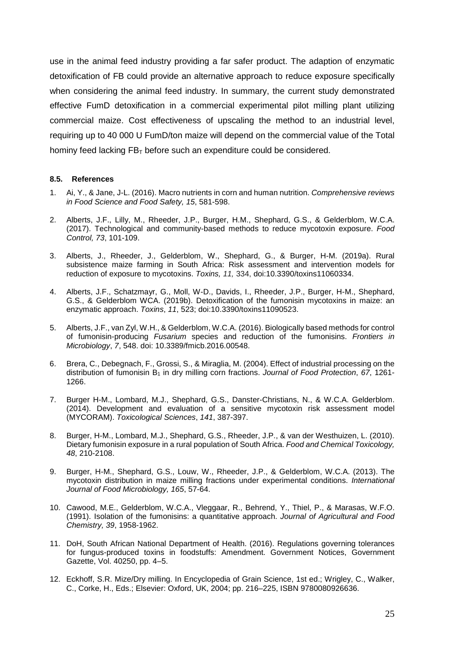use in the animal feed industry providing a far safer product. The adaption of enzymatic detoxification of FB could provide an alternative approach to reduce exposure specifically when considering the animal feed industry. In summary, the current study demonstrated effective FumD detoxification in a commercial experimental pilot milling plant utilizing commercial maize. Cost effectiveness of upscaling the method to an industrial level, requiring up to 40 000 U FumD/ton maize will depend on the commercial value of the Total hominy feed lacking  $FB<sub>T</sub>$  before such an expenditure could be considered.

#### **8.5. References**

- 1. Ai, Y., & Jane, J-L. (2016). Macro nutrients in corn and human nutrition. *Comprehensive reviews in Food Science and Food Safety, 15*, 581-598.
- 2. Alberts, J.F., Lilly, M., Rheeder, J.P., Burger, H.M., Shephard, G.S., & Gelderblom, W.C.A. (2017). Technological and community-based methods to reduce mycotoxin exposure. *Food Control, 73*, 101-109.
- 3. Alberts, J., Rheeder, J., Gelderblom, W., Shephard, G., & Burger, H-M. (2019a). Rural subsistence maize farming in South Africa: Risk assessment and intervention models for reduction of exposure to mycotoxins. *Toxins, 11,* 334, doi:10.3390/toxins11060334.
- 4. Alberts, J.F., Schatzmayr, G., Moll, W-D., Davids, I., Rheeder, J.P., Burger, H-M., Shephard, G.S., & Gelderblom WCA. (2019b). Detoxification of the fumonisin mycotoxins in maize: an enzymatic approach. *Toxins*, *11*, 523; doi:10.3390/toxins11090523.
- 5. Alberts, J.F., van Zyl, W.H., & Gelderblom, W.C.A. (2016). Biologically based methods for control of fumonisin-producing *Fusarium* species and reduction of the fumonisins. *Frontiers in Microbiology*, *7*, 548. doi: 10.3389/fmicb.2016.00548.
- 6. Brera, C., Debegnach, F., Grossi, S., & Miraglia, M. (2004). Effect of industrial processing on the distribution of fumonisin B1 in dry milling corn fractions. *Journal of Food Protection*, *67*, 1261- 1266.
- 7. Burger H-M., Lombard, M.J., Shephard, G.S., Danster-Christians, N., & W.C.A. Gelderblom. (2014). Development and evaluation of a sensitive mycotoxin risk assessment model (MYCORAM). *Toxicological Sciences*, *141*, 387-397.
- 8. Burger, H-M., Lombard, M.J., Shephard, G.S., Rheeder, J.P., & van der Westhuizen, L. (2010). Dietary fumonisin exposure in a rural population of South Africa. *Food and Chemical Toxicology, 48*, 210-2108.
- 9. Burger, H-M., Shephard, G.S., Louw, W., Rheeder, J.P., & Gelderblom, W.C.A. (2013). The mycotoxin distribution in maize milling fractions under experimental conditions. *International Journal of Food Microbiology, 165*, 57-64.
- 10. Cawood, M.E., Gelderblom, W.C.A., Vleggaar, R., Behrend, Y., Thiel, P., & Marasas, W.F.O. (1991). Isolation of the fumonisins: a quantitative approach. *Journal of Agricultural and Food Chemistry, 39*, 1958-1962.
- 11. DoH, South African National Department of Health. (2016). Regulations governing tolerances for fungus-produced toxins in foodstuffs: Amendment. Government Notices, Government Gazette, Vol. 40250, pp. 4–5.
- 12. Eckhoff, S.R. Mize/Dry milling. In Encyclopedia of Grain Science, 1st ed.; Wrigley, C., Walker, C., Corke, H., Eds.; Elsevier: Oxford, UK, 2004; pp. 216–225, ISBN 9780080926636.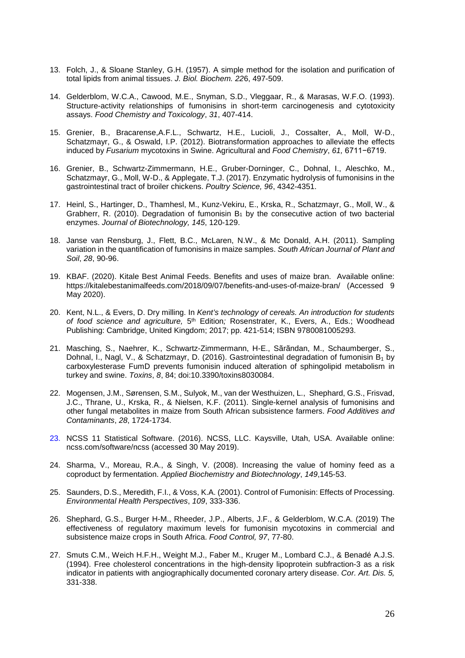- 13. Folch, J., & Sloane Stanley, G.H. (1957). A simple method for the isolation and purification of total lipids from animal tissues. *J. Biol. Biochem. 22*6, 497-509.
- 14. Gelderblom, W.C.A., Cawood, M.E., Snyman, S.D., Vleggaar, R., & Marasas, W.F.O. (1993). Structure-activity relationships of fumonisins in short-term carcinogenesis and cytotoxicity assays. *Food Chemistry and Toxicology*, *31*, 407-414.
- 15. Grenier, B., Bracarense,A.F.L., Schwartz, H.E., Lucioli, J., Cossalter, A., Moll, W-D., Schatzmayr, G., & Oswald, I.P. (2012). Biotransformation approaches to alleviate the effects induced by *Fusarium* mycotoxins in Swine. Agricultural and *Food Chemistry*, *61,* 6711−6719.
- 16. [Grenier,](https://www.ncbi.nlm.nih.gov/pubmed/?term=Grenier%20B%5BAuthor%5D&cauthor=true&cauthor_uid=29053869) B., [Schwartz-Zimmermann,](https://www.ncbi.nlm.nih.gov/pubmed/?term=Schwartz-Zimmermann%20HE%5BAuthor%5D&cauthor=true&cauthor_uid=29053869) H.E., [Gruber-Dorninger,](https://www.ncbi.nlm.nih.gov/pubmed/?term=Gruber-Dorninger%20C%5BAuthor%5D&cauthor=true&cauthor_uid=29053869) C., [Dohnal,](https://www.ncbi.nlm.nih.gov/pubmed/?term=Dohnal%20I%5BAuthor%5D&cauthor=true&cauthor_uid=29053869) I., [Aleschko,](https://www.ncbi.nlm.nih.gov/pubmed/?term=Aleschko%20M%5BAuthor%5D&cauthor=true&cauthor_uid=29053869) M., [Schatzmayr,](https://www.ncbi.nlm.nih.gov/pubmed/?term=Schatzmayr%20G%5BAuthor%5D&cauthor=true&cauthor_uid=29053869) G., [Moll,](https://www.ncbi.nlm.nih.gov/pubmed/?term=Moll%20WD%5BAuthor%5D&cauthor=true&cauthor_uid=29053869) W-D., & [Applegate,](https://www.ncbi.nlm.nih.gov/pubmed/?term=Applegate%20TJ%5BAuthor%5D&cauthor=true&cauthor_uid=29053869) T.J. (2017). Enzymatic hydrolysis of fumonisins in the gastrointestinal tract of broiler chickens. *[Poultry Science, 9](https://www.ncbi.nlm.nih.gov/pmc/articles/PMC5850661/)6*, 4342-4351.
- 17. Heinl, S., Hartinger, D., Thamhesl, M., Kunz-Vekiru, E., Krska, R., Schatzmayr, G., Moll, W., & Grabherr, R. (2010). Degradation of fumonisin  $B_1$  by the consecutive action of two bacterial enzymes. *Journal of Biotechnology, 145*, 120-129.
- 18. Janse van Rensburg, J., Flett, B.C., McLaren, N.W., & Mc Donald, A.H. (2011). Sampling variation in the quantification of fumonisins in maize samples. *South African Journal of Plant and Soil*, *28*, 90-96.
- 19. KBAF. (2020). Kitale Best Animal Feeds. Benefits and uses of maize bran. Available online: <https://kitalebestanimalfeeds.com/2018/09/07/benefits-and-uses-of-maize-bran/> (Accessed 9 May 2020).
- 20. Kent, N.L., & Evers, D. Dry milling. In *Kent's technology of cereals. An introduction for students of food science and agriculture,* 5th Edition*;* Rosenstrater, K., Evers, A., Eds.; Woodhead Publishing: Cambridge, United Kingdom; 2017; pp. 421-514; ISBN 9780081005293.
- 21. Masching, S., Naehrer, K., Schwartz-Zimmermann, H-E., Sãrãndan, M., Schaumberger, S., Dohnal, I., Nagl, V., & Schatzmayr, D. (2016). Gastrointestinal degradation of fumonisin B<sub>1</sub> by carboxylesterase FumD prevents fumonisin induced alteration of sphingolipid metabolism in turkey and swine. *Toxins*, *8*, 84; doi:10.3390/toxins8030084.
- 22. [Mogensen,](https://www.tandfonline.com/author/Mogensen%2C+JM) J.M., [Sørensen,](https://www.tandfonline.com/author/S%C3%B8rensen%2C+SM) S.M., [Sulyok,](https://www.tandfonline.com/author/Sulyok%2C+M) M., [van der Westhuizen,](https://www.tandfonline.com/author/van+der+Westhuizen%2C+L) L.[, Shephard,](https://www.tandfonline.com/author/Shephard%2C+GS) G.S.[, Frisvad,](https://www.tandfonline.com/author/Frisvad%2C+JC) J.C., Thrane, U., Krska, R., & Nielsen, K.F. (2011). Single-kernel analysis of fumonisins and other fungal metabolites in maize from South African subsistence farmers. *[Food Additives and](https://www.tandfonline.com/toc/tfac20/current)  [Contaminants](https://www.tandfonline.com/toc/tfac20/current)*, *28*, 1724-1734.
- 23. NCSS 11 Statistical Software. (2016). NCSS, LLC. Kaysville, Utah, USA. Available online: [ncss.com/software/ncss](https://protect-za.mimecast.com/s/vQGbBVF9m6d9Uw) (accessed 30 May 2019).
- 24. Sharma, V., Moreau, R.A., & Singh, V. (2008). Increasing the value of hominy feed as a coproduct by fermentation. *[Applied Biochemistry and Biotechnology](https://www.ncbi.nlm.nih.gov/pubmed/18401745)*, *149*,145-53.
- 25. Saunders, D.S., Meredith, F.I., & Voss, K.A. (2001). Control of Fumonisin: Effects of Processing. *Environmental Health Perspectives*, *109*, 333-336.
- 26. Shephard, G.S., Burger H-M., Rheeder, J.P., Alberts, J.F., & Gelderblom, W.C.A. (2019) The effectiveness of regulatory maximum levels for fumonisin mycotoxins in commercial and subsistence maize crops in South Africa. *Food Control, 97*, 77-80.
- 27. Smuts C.M., Weich H.F.H., Weight M.J., Faber M., Kruger M., Lombard C.J., & Benadé A.J.S. (1994). Free cholesterol concentrations in the high-density lipoprotein subfraction-3 as a risk indicator in patients with angiographically documented coronary artery disease. *Cor. Art. Dis. 5,* 331-338.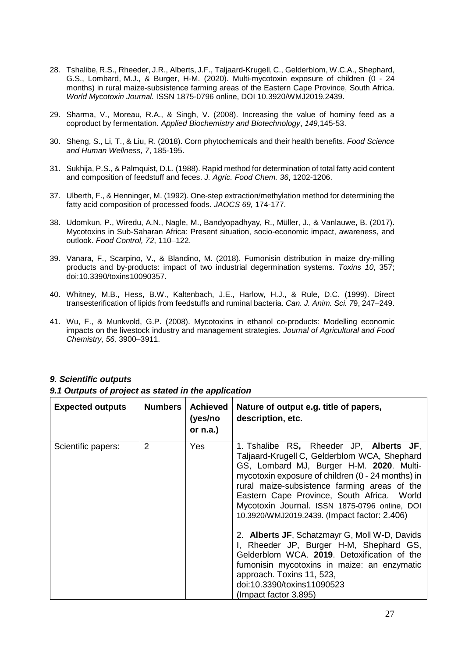- 28. Tshalibe, R.S., Rheeder, J.R., Alberts, J.F., Taljaard-Krugell, C., Gelderblom, W.C.A., Shephard, G.S., Lombard, M.J., & Burger, H-M. (2020). Multi-mycotoxin exposure of children (0 - 24 months) in rural maize-subsistence farming areas of the Eastern Cape Province, South Africa. *World Mycotoxin Journal.* ISSN 1875-0796 online, DOI 10.3920/WMJ2019.2439.
- 29. Sharma, V., Moreau, R.A., & Singh, V. (2008). Increasing the value of hominy feed as a coproduct by fermentation. *[Applied Biochemistry and Biotechnology](https://www.ncbi.nlm.nih.gov/pubmed/18401745)*, *149*,145-53.
- 30. Sheng, S., Li, T., & Liu, R. (2018). Corn phytochemicals and their health benefits. *Food Science and Human Wellness, 7*, 185-195.
- 31. Sukhija, P.S., & Palmquist, D.L. (1988). Rapid method for determination of total fatty acid content and composition of feedstuff and feces. *J. Agric. Food Chem. 36*, 1202-1206.
- 37. Ulberth, F., & Henninger, M. (1992). One-step extraction/methylation method for determining the fatty acid composition of processed foods. *JAOCS 69,* 174-177.
- 38. Udomkun, P., Wiredu, A.N., Nagle, M., Bandyopadhyay, R., Müller, J., & Vanlauwe, B. (2017). Mycotoxins in Sub-Saharan Africa: Present situation, socio-economic impact, awareness, and outlook. *Food Control, 72*, 110–122.
- 39. Vanara, F., Scarpino, V., & Blandino, M. (2018). Fumonisin distribution in maize dry-milling products and by-products: impact of two industrial degermination systems. *Toxins 10*, 357; doi:10.3390/toxins10090357.
- 40. Whitney, M.B., Hess, B.W., Kaltenbach, J.E., Harlow, H.J., & Rule, D.C. (1999). Direct transesterification of lipids from feedstuffs and ruminal bacteria. *Can. J. Anim. Sci. 7*9, 247–249.
- 41. Wu, F., & Munkvold, G.P. (2008). Mycotoxins in ethanol co-products: Modelling economic impacts on the livestock industry and management strategies. *Journal of Agricultural and Food Chemistry, 56,* 3900–3911.

| <b>Expected outputs</b>                      | <b>Numbers</b> | <b>Achieved</b><br>(yes/no<br>or $n.a.$ )                                                                                                                                                                                                                                                                                                                                               | Nature of output e.g. title of papers,<br>description, etc.                                                                                                                                                                                                                |
|----------------------------------------------|----------------|-----------------------------------------------------------------------------------------------------------------------------------------------------------------------------------------------------------------------------------------------------------------------------------------------------------------------------------------------------------------------------------------|----------------------------------------------------------------------------------------------------------------------------------------------------------------------------------------------------------------------------------------------------------------------------|
| $\overline{2}$<br>Yes.<br>Scientific papers: |                | 1. Tshalibe RS, Rheeder JP, Alberts JF,<br>Taljaard-Krugell C, Gelderblom WCA, Shephard<br>GS, Lombard MJ, Burger H-M. 2020. Multi-<br>mycotoxin exposure of children (0 - 24 months) in<br>rural maize-subsistence farming areas of the<br>Eastern Cape Province, South Africa. World<br>Mycotoxin Journal. ISSN 1875-0796 online, DOI<br>10.3920/WMJ2019.2439. (Impact factor: 2.406) |                                                                                                                                                                                                                                                                            |
|                                              |                |                                                                                                                                                                                                                                                                                                                                                                                         | 2. Alberts JF, Schatzmayr G, Moll W-D, Davids<br>I, Rheeder JP, Burger H-M, Shephard GS,<br>Gelderblom WCA. 2019. Detoxification of the<br>fumonisin mycotoxins in maize: an enzymatic<br>approach. Toxins 11, 523,<br>doi:10.3390/toxins11090523<br>(Impact factor 3.895) |

#### *9. Scientific outputs*

#### *9.1 Outputs of project as stated in the application*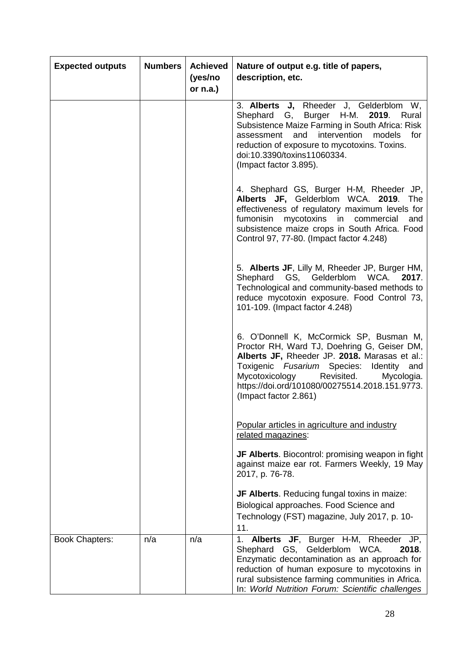| <b>Expected outputs</b> | <b>Numbers</b> | <b>Achieved</b><br>(yes/no<br>or $n.a.$ ) | Nature of output e.g. title of papers,<br>description, etc.                                                                                                                                                                                                                                                     |
|-------------------------|----------------|-------------------------------------------|-----------------------------------------------------------------------------------------------------------------------------------------------------------------------------------------------------------------------------------------------------------------------------------------------------------------|
|                         |                |                                           | 3. Alberts J, Rheeder J, Gelderblom W,<br>Shephard<br>G, Burger H-M.<br>2019.<br>Rural<br>Subsistence Maize Farming in South Africa: Risk<br>assessment and intervention<br>models<br>for<br>reduction of exposure to mycotoxins. Toxins.<br>doi:10.3390/toxins11060334.<br>(Impact factor 3.895).              |
|                         |                |                                           | 4. Shephard GS, Burger H-M, Rheeder JP,<br>Alberts JF, Gelderblom WCA. 2019. The<br>effectiveness of regulatory maximum levels for<br>fumonisin mycotoxins in commercial<br>and<br>subsistence maize crops in South Africa. Food<br>Control 97, 77-80. (Impact factor 4.248)                                    |
|                         |                |                                           | 5. Alberts JF, Lilly M, Rheeder JP, Burger HM,<br>Shephard GS, Gelderblom WCA.<br>2017.<br>Technological and community-based methods to<br>reduce mycotoxin exposure. Food Control 73,<br>101-109. (Impact factor 4.248)                                                                                        |
|                         |                |                                           | 6. O'Donnell K, McCormick SP, Busman M,<br>Proctor RH, Ward TJ, Doehring G, Geiser DM,<br>Alberts JF, Rheeder JP. 2018. Marasas et al.:<br>Toxigenic Fusarium Species:<br>Identity and<br>Mycotoxicology<br>Revisited.<br>Mycologia.<br>https://doi.ord/101080/00275514.2018.151.9773.<br>(Impact factor 2.861) |
|                         |                |                                           | Popular articles in agriculture and industry<br>related magazines:                                                                                                                                                                                                                                              |
|                         |                |                                           | <b>JF Alberts.</b> Biocontrol: promising weapon in fight<br>against maize ear rot. Farmers Weekly, 19 May<br>2017, p. 76-78.                                                                                                                                                                                    |
|                         |                |                                           | JF Alberts. Reducing fungal toxins in maize:<br>Biological approaches. Food Science and<br>Technology (FST) magazine, July 2017, p. 10-<br>11.                                                                                                                                                                  |
| <b>Book Chapters:</b>   | n/a            | n/a                                       | Alberts JF, Burger H-M, Rheeder JP,<br>1.<br>Gelderblom WCA.<br>Shephard GS,<br>2018.<br>Enzymatic decontamination as an approach for<br>reduction of human exposure to mycotoxins in<br>rural subsistence farming communities in Africa.<br>In: World Nutrition Forum: Scientific challenges                   |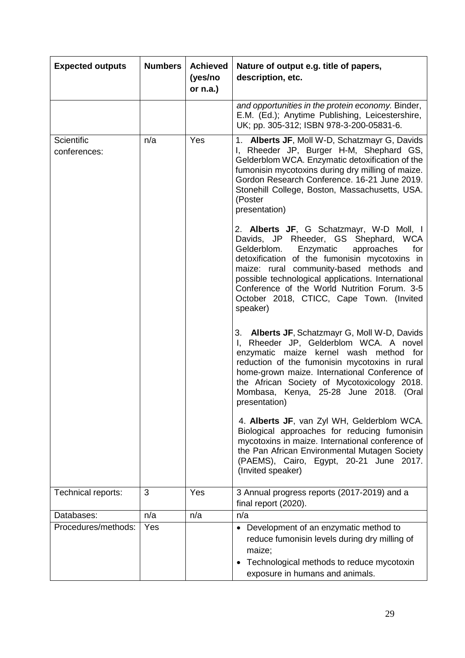| <b>Expected outputs</b>    | <b>Numbers</b> | <b>Achieved</b><br>(yes/no<br>or $n.a.$ ) | Nature of output e.g. title of papers,<br>description, etc.                                                                                                                                                                                                                                                                                                                                  |
|----------------------------|----------------|-------------------------------------------|----------------------------------------------------------------------------------------------------------------------------------------------------------------------------------------------------------------------------------------------------------------------------------------------------------------------------------------------------------------------------------------------|
|                            |                |                                           | and opportunities in the protein economy. Binder,<br>E.M. (Ed.); Anytime Publishing, Leicestershire,<br>UK; pp. 305-312; ISBN 978-3-200-05831-6.                                                                                                                                                                                                                                             |
| Scientific<br>conferences: | n/a            | Yes                                       | 1. Alberts JF, Moll W-D, Schatzmayr G, Davids<br>I, Rheeder JP, Burger H-M, Shephard GS,<br>Gelderblom WCA. Enzymatic detoxification of the<br>fumonisin mycotoxins during dry milling of maize.<br>Gordon Research Conference. 16-21 June 2019.<br>Stonehill College, Boston, Massachusetts, USA.<br>(Poster<br>presentation)                                                               |
|                            |                |                                           | 2. Alberts JF, G Schatzmayr, W-D Moll, I<br>Davids, JP Rheeder, GS Shephard, WCA<br>Gelderblom.<br>Enzymatic<br>approaches<br>for<br>detoxification of the fumonisin mycotoxins in<br>maize: rural community-based methods and<br>possible technological applications. International<br>Conference of the World Nutrition Forum. 3-5<br>October 2018, CTICC, Cape Town. (Invited<br>speaker) |
|                            |                |                                           | 3. Alberts JF, Schatzmayr G, Moll W-D, Davids<br>I, Rheeder JP, Gelderblom WCA. A novel<br>enzymatic maize kernel wash method for<br>reduction of the fumonisin mycotoxins in rural<br>home-grown maize. International Conference of<br>the African Society of Mycotoxicology 2018.<br>Mombasa, Kenya, 25-28 June 2018. (Oral<br>presentation)                                               |
|                            |                |                                           | 4. Alberts JF, van Zyl WH, Gelderblom WCA.<br>Biological approaches for reducing fumonisin<br>mycotoxins in maize. International conference of<br>the Pan African Environmental Mutagen Society<br>(PAEMS), Cairo, Egypt, 20-21 June 2017.<br>(Invited speaker)                                                                                                                              |
| Technical reports:         | 3              | Yes                                       | 3 Annual progress reports (2017-2019) and a<br>final report (2020).                                                                                                                                                                                                                                                                                                                          |
| Databases:                 | n/a            | n/a                                       | n/a                                                                                                                                                                                                                                                                                                                                                                                          |
| Procedures/methods:        | Yes            |                                           | • Development of an enzymatic method to<br>reduce fumonisin levels during dry milling of<br>maize;<br>Technological methods to reduce mycotoxin<br>exposure in humans and animals.                                                                                                                                                                                                           |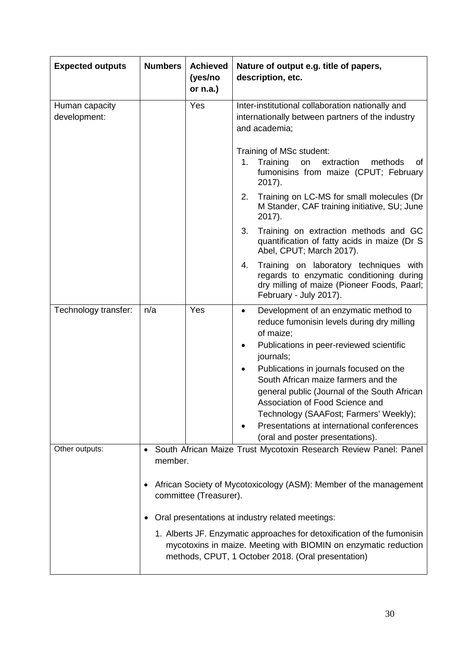| <b>Expected outputs</b>        | <b>Numbers</b>                                                                                                                                                                                                                                       | <b>Achieved</b><br>(yes/no<br>or $n.a.$ ) | Nature of output e.g. title of papers,<br>description, etc.                                                                                                                                                                                                                                                                                                                                                                                                             |  |
|--------------------------------|------------------------------------------------------------------------------------------------------------------------------------------------------------------------------------------------------------------------------------------------------|-------------------------------------------|-------------------------------------------------------------------------------------------------------------------------------------------------------------------------------------------------------------------------------------------------------------------------------------------------------------------------------------------------------------------------------------------------------------------------------------------------------------------------|--|
| Human capacity<br>development: |                                                                                                                                                                                                                                                      | Yes                                       | Inter-institutional collaboration nationally and<br>internationally between partners of the industry<br>and academia;                                                                                                                                                                                                                                                                                                                                                   |  |
|                                |                                                                                                                                                                                                                                                      |                                           | Training of MSc student:<br>1.<br>Training<br>extraction<br>methods<br>on<br>of<br>fumonisins from maize (CPUT; February<br>$2017$ ).                                                                                                                                                                                                                                                                                                                                   |  |
|                                |                                                                                                                                                                                                                                                      |                                           | Training on LC-MS for small molecules (Dr<br>2.<br>M Stander, CAF training initiative, SU; June<br>2017).                                                                                                                                                                                                                                                                                                                                                               |  |
|                                |                                                                                                                                                                                                                                                      |                                           | Training on extraction methods and GC<br>3.<br>quantification of fatty acids in maize (Dr S)<br>Abel, CPUT; March 2017).                                                                                                                                                                                                                                                                                                                                                |  |
|                                |                                                                                                                                                                                                                                                      |                                           | Training on laboratory techniques with<br>4.<br>regards to enzymatic conditioning during<br>dry milling of maize (Pioneer Foods, Paarl;<br>February - July 2017).                                                                                                                                                                                                                                                                                                       |  |
| Technology transfer:           | n/a                                                                                                                                                                                                                                                  | Yes                                       | Development of an enzymatic method to<br>$\bullet$<br>reduce fumonisin levels during dry milling<br>of maize;<br>Publications in peer-reviewed scientific<br>journals;<br>Publications in journals focused on the<br>South African maize farmers and the<br>general public (Journal of the South African<br>Association of Food Science and<br>Technology (SAAFost; Farmers' Weekly);<br>Presentations at international conferences<br>(oral and poster presentations). |  |
| Other outputs:                 | member.                                                                                                                                                                                                                                              |                                           | South African Maize Trust Mycotoxin Research Review Panel: Panel                                                                                                                                                                                                                                                                                                                                                                                                        |  |
|                                | African Society of Mycotoxicology (ASM): Member of the management<br>committee (Treasurer).                                                                                                                                                          |                                           |                                                                                                                                                                                                                                                                                                                                                                                                                                                                         |  |
|                                | Oral presentations at industry related meetings:<br>1. Alberts JF. Enzymatic approaches for detoxification of the fumonisin<br>mycotoxins in maize. Meeting with BIOMIN on enzymatic reduction<br>methods, CPUT, 1 October 2018. (Oral presentation) |                                           |                                                                                                                                                                                                                                                                                                                                                                                                                                                                         |  |
|                                |                                                                                                                                                                                                                                                      |                                           |                                                                                                                                                                                                                                                                                                                                                                                                                                                                         |  |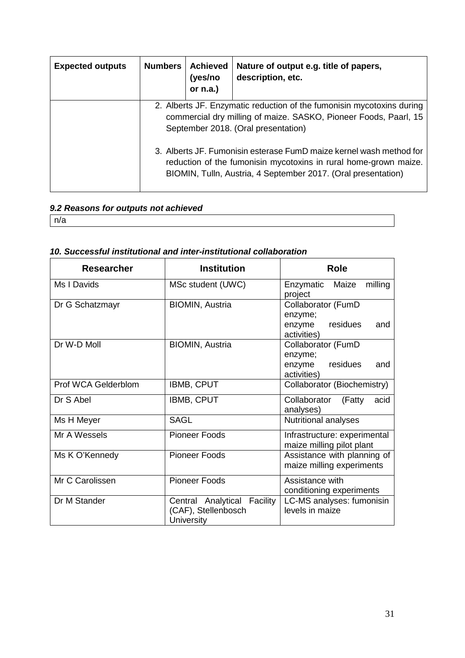| <b>Expected outputs</b> | <b>Numbers</b>                                                                                                                                                                   | <b>Achieved</b><br>(yes/no<br>or $n.a.$ )                                                                                                                                                                | Nature of output e.g. title of papers,<br>description, etc. |
|-------------------------|----------------------------------------------------------------------------------------------------------------------------------------------------------------------------------|----------------------------------------------------------------------------------------------------------------------------------------------------------------------------------------------------------|-------------------------------------------------------------|
|                         | 2. Alberts JF. Enzymatic reduction of the fumonisin mycotoxins during<br>commercial dry milling of maize. SASKO, Pioneer Foods, Paarl, 15<br>September 2018. (Oral presentation) |                                                                                                                                                                                                          |                                                             |
|                         |                                                                                                                                                                                  | 3. Alberts JF. Fumonisin esterase FumD maize kernel wash method for<br>reduction of the fumonisin mycotoxins in rural home-grown maize.<br>BIOMIN, Tulln, Austria, 4 September 2017. (Oral presentation) |                                                             |

# *9.2 Reasons for outputs not achieved*

n/a

# *10. Successful institutional and inter-institutional collaboration*

| <b>Institution</b><br><b>Researcher</b> |                                                                         | <b>Role</b>                                                               |
|-----------------------------------------|-------------------------------------------------------------------------|---------------------------------------------------------------------------|
| Ms I Davids                             | MSc student (UWC)                                                       | Enzymatic<br>Maize<br>milling<br>project                                  |
| Dr G Schatzmayr                         | <b>BIOMIN, Austria</b>                                                  | Collaborator (FumD<br>enzyme;<br>enzyme<br>residues<br>and<br>activities) |
| Dr W-D Moll                             | <b>BIOMIN, Austria</b>                                                  | Collaborator (FumD<br>enzyme;<br>residues<br>enzyme<br>and<br>activities) |
| Prof WCA Gelderblom                     | IBMB, CPUT                                                              | Collaborator (Biochemistry)                                               |
| Dr S Abel                               | IBMB, CPUT                                                              | Collaborator<br>(Fatty<br>acid<br>analyses)                               |
| Ms H Meyer                              | <b>SAGL</b>                                                             | Nutritional analyses                                                      |
| Mr A Wessels                            | <b>Pioneer Foods</b>                                                    | Infrastructure: experimental<br>maize milling pilot plant                 |
| Ms K O'Kennedy                          | <b>Pioneer Foods</b>                                                    | Assistance with planning of<br>maize milling experiments                  |
| Mr C Carolissen                         | <b>Pioneer Foods</b>                                                    | Assistance with<br>conditioning experiments                               |
| Dr M Stander                            | Central Analytical Facility<br>(CAF), Stellenbosch<br><b>University</b> | LC-MS analyses: fumonisin<br>levels in maize                              |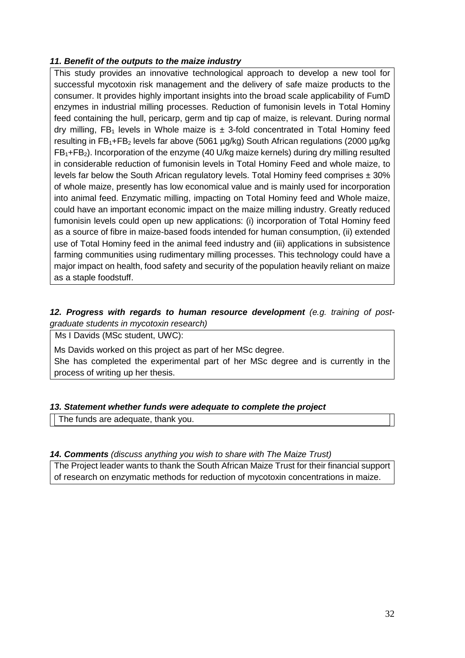## *11. Benefit of the outputs to the maize industry*

This study provides an innovative technological approach to develop a new tool for successful mycotoxin risk management and the delivery of safe maize products to the consumer. It provides highly important insights into the broad scale applicability of FumD enzymes in industrial milling processes. Reduction of fumonisin levels in Total Hominy feed containing the hull, pericarp, germ and tip cap of maize, is relevant. During normal dry milling, FB<sub>1</sub> levels in Whole maize is  $\pm$  3-fold concentrated in Total Hominy feed resulting in  $FB_1+FB_2$  levels far above (5061  $\mu q/kg$ ) South African regulations (2000  $\mu q/kg$ FB1+FB2). Incorporation of the enzyme (40 U/kg maize kernels) during dry milling resulted in considerable reduction of fumonisin levels in Total Hominy Feed and whole maize, to levels far below the South African regulatory levels. Total Hominy feed comprises  $\pm 30\%$ of whole maize, presently has low economical value and is mainly used for incorporation into animal feed. Enzymatic milling, impacting on Total Hominy feed and Whole maize, could have an important economic impact on the maize milling industry. Greatly reduced fumonisin levels could open up new applications: (i) incorporation of Total Hominy feed as a source of fibre in maize-based foods intended for human consumption, (ii) extended use of Total Hominy feed in the animal feed industry and (iii) applications in subsistence farming communities using rudimentary milling processes. This technology could have a major impact on health, food safety and security of the population heavily reliant on maize as a staple foodstuff.

## *12. Progress with regards to human resource development (e.g. training of postgraduate students in mycotoxin research)*

Ms I Davids (MSc student, UWC):

Ms Davids worked on this project as part of her MSc degree.

She has completed the experimental part of her MSc degree and is currently in the process of writing up her thesis.

#### *13. Statement whether funds were adequate to complete the project*

The funds are adequate, thank you.

#### *14. Comments (discuss anything you wish to share with The Maize Trust)*

The Project leader wants to thank the South African Maize Trust for their financial support of research on enzymatic methods for reduction of mycotoxin concentrations in maize.